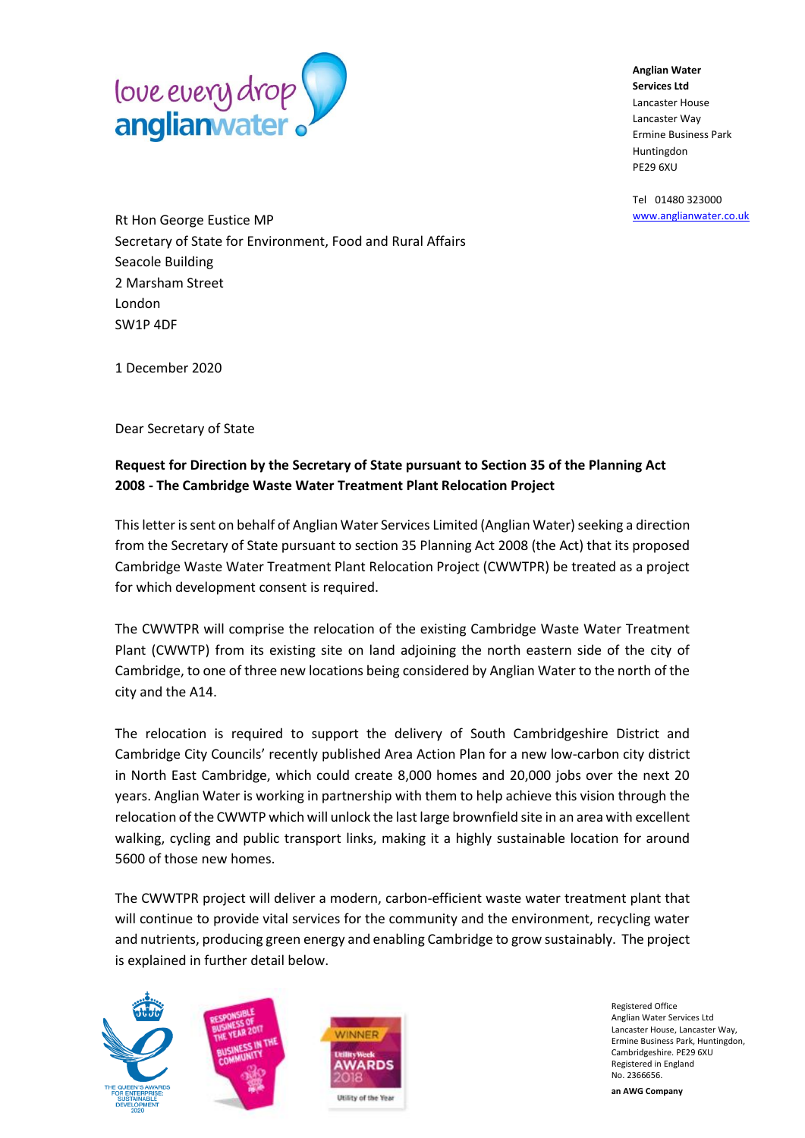

**Anglian Water Services Ltd** Lancaster House Lancaster Way Ermine Business Park Huntingdon PE29 6XU

Tel 01480 323000 [www.anglianwater.co.uk](http://www.anglianwater.co.uk/)

[Rt Hon George Eustice MP](https://www.gov.uk/government/people/george-eustice) Secretary of State for Environment, Food and Rural Affairs Seacole Building 2 Marsham Street London SW1P 4DF

1 December 2020

Dear Secretary of State

#### **Request for Direction by the Secretary of State pursuant to Section 35 of the Planning Act 2008 - The Cambridge Waste Water Treatment Plant Relocation Project**

This letter is sent on behalf of Anglian Water Services Limited (Anglian Water) seeking a direction from the Secretary of State pursuant to section 35 Planning Act 2008 (the Act) that its proposed Cambridge Waste Water Treatment Plant Relocation Project (CWWTPR) be treated as a project for which development consent is required.

The CWWTPR will comprise the relocation of the existing Cambridge Waste Water Treatment Plant (CWWTP) from its existing site on land adjoining the north eastern side of the city of Cambridge, to one of three new locations being considered by Anglian Water to the north of the city and the A14.

The relocation is required to support the delivery of South Cambridgeshire District and Cambridge City Councils' recently published Area Action Plan for a new low-carbon city district in North East Cambridge, which could create 8,000 homes and 20,000 jobs over the next 20 years. Anglian Water is working in partnership with them to help achieve this vision through the relocation of the CWWTP which will unlock the last large brownfield site in an area with excellent walking, cycling and public transport links, making it a highly sustainable location for around 5600 of those new homes.

The CWWTPR project will deliver a modern, carbon-efficient waste water treatment plant that will continue to provide vital services for the community and the environment, recycling water and nutrients, producing green energy and enabling Cambridge to grow sustainably. The project is explained in further detail below.







Registered Office Anglian Water Services Ltd Lancaster House, Lancaster Way, Ermine Business Park, Huntingdon, Cambridgeshire. PE29 6XU Registered in England No. 2366656. **an AWG Company**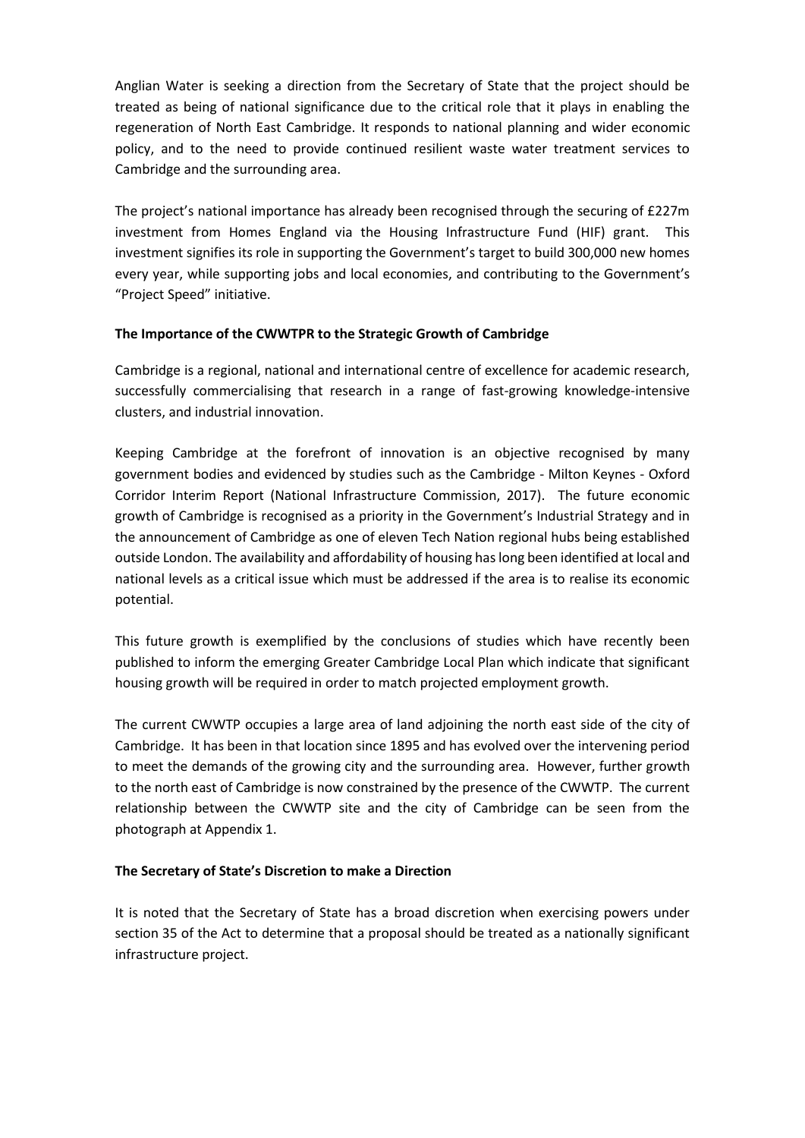Anglian Water is seeking a direction from the Secretary of State that the project should be treated as being of national significance due to the critical role that it plays in enabling the regeneration of North East Cambridge. It responds to national planning and wider economic policy, and to the need to provide continued resilient waste water treatment services to Cambridge and the surrounding area.

The project's national importance has already been recognised through the securing of £227m investment from Homes England via the Housing Infrastructure Fund (HIF) grant. This investment signifies its role in supporting the Government's target to build 300,000 new homes every year, while supporting jobs and local economies, and contributing to the Government's "Project Speed" initiative.

#### **The Importance of the CWWTPR to the Strategic Growth of Cambridge**

Cambridge is a regional, national and international centre of excellence for academic research, successfully commercialising that research in a range of fast-growing knowledge-intensive clusters, and industrial innovation.

Keeping Cambridge at the forefront of innovation is an objective recognised by many government bodies and evidenced by studies such as the Cambridge - Milton Keynes - Oxford Corridor Interim Report (National Infrastructure Commission, 2017). The future economic growth of Cambridge is recognised as a priority in the Government's Industrial Strategy and in the announcement of Cambridge as one of eleven Tech Nation regional hubs being established outside London. The availability and affordability of housing has long been identified at local and national levels as a critical issue which must be addressed if the area is to realise its economic potential.

This future growth is exemplified by the conclusions of studies which have recently been published to inform the emerging Greater Cambridge Local Plan which indicate that significant housing growth will be required in order to match projected employment growth.

The current CWWTP occupies a large area of land adjoining the north east side of the city of Cambridge. It has been in that location since 1895 and has evolved over the intervening period to meet the demands of the growing city and the surrounding area. However, further growth to the north east of Cambridge is now constrained by the presence of the CWWTP. The current relationship between the CWWTP site and the city of Cambridge can be seen from the photograph at Appendix 1.

#### **The Secretary of State's Discretion to make a Direction**

It is noted that the Secretary of State has a broad discretion when exercising powers under section 35 of the Act to determine that a proposal should be treated as a nationally significant infrastructure project.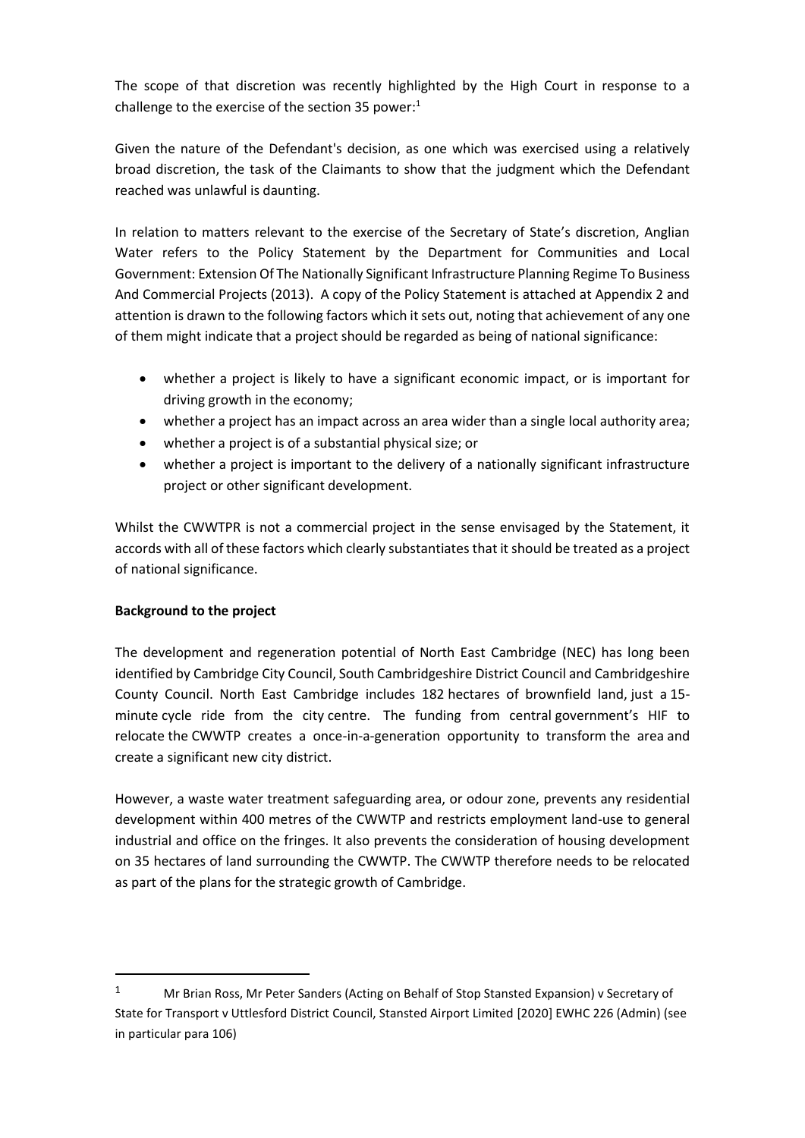The scope of that discretion was recently highlighted by the High Court in response to a challenge to the exercise of the section 35 power: $1$ 

Given the nature of the Defendant's decision, as one which was exercised using a relatively broad discretion, the task of the Claimants to show that the judgment which the Defendant reached was unlawful is daunting.

In relation to matters relevant to the exercise of the Secretary of State's discretion, Anglian Water refers to the Policy Statement by the Department for Communities and Local Government: Extension Of The Nationally Significant Infrastructure Planning Regime To Business And Commercial Projects (2013). A copy of the Policy Statement is attached at Appendix 2 and attention is drawn to the following factors which it sets out, noting that achievement of any one of them might indicate that a project should be regarded as being of national significance:

- whether a project is likely to have a significant economic impact, or is important for driving growth in the economy;
- whether a project has an impact across an area wider than a single local authority area;
- whether a project is of a substantial physical size; or
- whether a project is important to the delivery of a nationally significant infrastructure project or other significant development.

Whilst the CWWTPR is not a commercial project in the sense envisaged by the Statement, it accords with all of these factors which clearly substantiates that it should be treated as a project of national significance.

#### **Background to the project**

**.** 

The development and regeneration potential of North East Cambridge (NEC) has long been identified by Cambridge City Council, South Cambridgeshire District Council and Cambridgeshire County Council. North East Cambridge includes 182 hectares of brownfield land, just a 15 minute cycle ride from the city centre.  The funding from central government's HIF to relocate the CWWTP creates a once-in-a-generation opportunity to transform the area and create a significant new city district. 

However, a waste water treatment safeguarding area, or odour zone, prevents any residential development within 400 metres of the CWWTP and restricts employment land-use to general industrial and office on the fringes. It also prevents the consideration of housing development on 35 hectares of land surrounding the CWWTP. The CWWTP therefore needs to be relocated as part of the plans for the strategic growth of Cambridge.

<sup>1</sup> Mr Brian Ross, Mr Peter Sanders (Acting on Behalf of Stop Stansted Expansion) v Secretary of State for Transport v Uttlesford District Council, Stansted Airport Limited [2020] EWHC 226 (Admin) (see in particular para 106)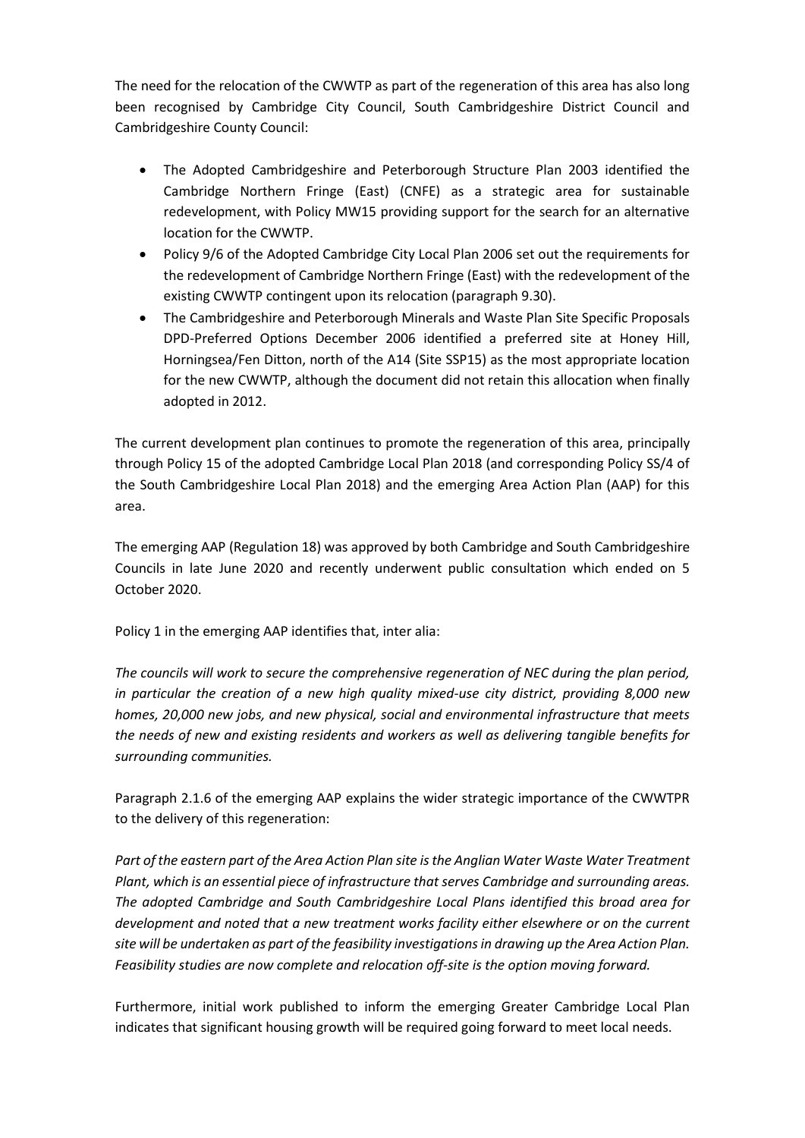The need for the relocation of the CWWTP as part of the regeneration of this area has also long been recognised by Cambridge City Council, South Cambridgeshire District Council and Cambridgeshire County Council:

- The Adopted Cambridgeshire and Peterborough Structure Plan 2003 identified the Cambridge Northern Fringe (East) (CNFE) as a strategic area for sustainable redevelopment, with Policy MW15 providing support for the search for an alternative location for the CWWTP.
- Policy 9/6 of the Adopted Cambridge City Local Plan 2006 set out the requirements for the redevelopment of Cambridge Northern Fringe (East) with the redevelopment of the existing CWWTP contingent upon its relocation (paragraph 9.30).
- The Cambridgeshire and Peterborough Minerals and Waste Plan Site Specific Proposals DPD-Preferred Options December 2006 identified a preferred site at Honey Hill, Horningsea/Fen Ditton, north of the A14 (Site SSP15) as the most appropriate location for the new CWWTP, although the document did not retain this allocation when finally adopted in 2012.

The current development plan continues to promote the regeneration of this area, principally through Policy 15 of the adopted Cambridge Local Plan 2018 (and corresponding Policy SS/4 of the South Cambridgeshire Local Plan 2018) and the emerging Area Action Plan (AAP) for this area.

The emerging AAP (Regulation 18) was approved by both Cambridge and South Cambridgeshire Councils in late June 2020 and recently underwent public consultation which ended on 5 October 2020.

Policy 1 in the emerging AAP identifies that, inter alia:

*The councils will work to secure the comprehensive regeneration of NEC during the plan period, in particular the creation of a new high quality mixed-use city district, providing 8,000 new homes, 20,000 new jobs, and new physical, social and environmental infrastructure that meets the needs of new and existing residents and workers as well as delivering tangible benefits for surrounding communities.*

Paragraph 2.1.6 of the emerging AAP explains the wider strategic importance of the CWWTPR to the delivery of this regeneration:

*Part of the eastern part of the Area Action Plan site is the Anglian Water Waste Water Treatment Plant, which is an essential piece of infrastructure that serves Cambridge and surrounding areas. The adopted Cambridge and South Cambridgeshire Local Plans identified this broad area for development and noted that a new treatment works facility either elsewhere or on the current site will be undertaken as part of the feasibility investigations in drawing up the Area Action Plan. Feasibility studies are now complete and relocation off-site is the option moving forward.*

Furthermore, initial work published to inform the emerging Greater Cambridge Local Plan indicates that significant housing growth will be required going forward to meet local needs.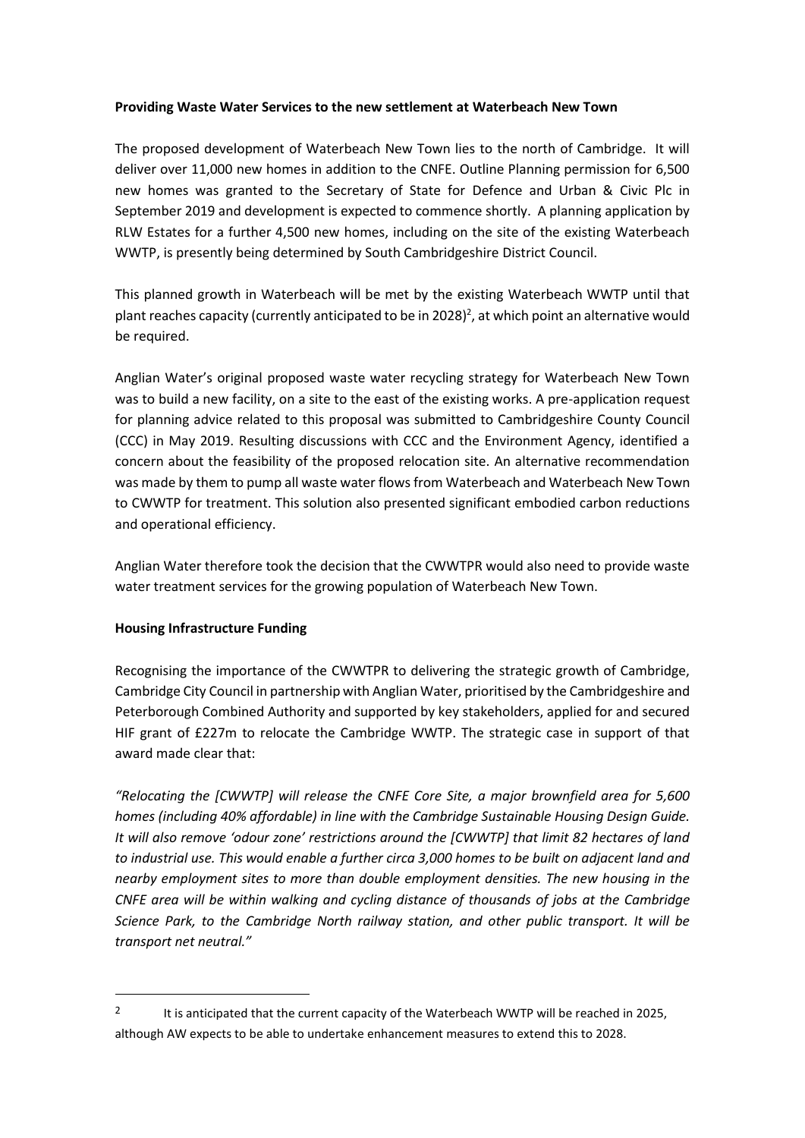#### **Providing Waste Water Services to the new settlement at Waterbeach New Town**

The proposed development of Waterbeach New Town lies to the north of Cambridge. It will deliver over 11,000 new homes in addition to the CNFE. Outline Planning permission for 6,500 new homes was granted to the Secretary of State for Defence and Urban & Civic Plc in September 2019 and development is expected to commence shortly. A planning application by RLW Estates for a further 4,500 new homes, including on the site of the existing Waterbeach WWTP, is presently being determined by South Cambridgeshire District Council.

This planned growth in Waterbeach will be met by the existing Waterbeach WWTP until that plant reaches capacity (currently anticipated to be in 2028)<sup>2</sup>, at which point an alternative would be required.

Anglian Water's original proposed waste water recycling strategy for Waterbeach New Town was to build a new facility, on a site to the east of the existing works. A pre-application request for planning advice related to this proposal was submitted to Cambridgeshire County Council (CCC) in May 2019. Resulting discussions with CCC and the Environment Agency, identified a concern about the feasibility of the proposed relocation site. An alternative recommendation was made by them to pump all waste water flows from Waterbeach and Waterbeach New Town to CWWTP for treatment. This solution also presented significant embodied carbon reductions and operational efficiency.

Anglian Water therefore took the decision that the CWWTPR would also need to provide waste water treatment services for the growing population of Waterbeach New Town.

#### **Housing Infrastructure Funding**

**.** 

Recognising the importance of the CWWTPR to delivering the strategic growth of Cambridge, Cambridge City Council in partnership with Anglian Water, prioritised by the Cambridgeshire and Peterborough Combined Authority and supported by key stakeholders, applied for and secured HIF grant of £227m to relocate the Cambridge WWTP. The strategic case in support of that award made clear that:

*"Relocating the [CWWTP] will release the CNFE Core Site, a major brownfield area for 5,600 homes (including 40% affordable) in line with the Cambridge Sustainable Housing Design Guide. It will also remove 'odour zone' restrictions around the [CWWTP] that limit 82 hectares of land to industrial use. This would enable a further circa 3,000 homes to be built on adjacent land and nearby employment sites to more than double employment densities. The new housing in the CNFE area will be within walking and cycling distance of thousands of jobs at the Cambridge Science Park, to the Cambridge North railway station, and other public transport. It will be transport net neutral."*

<sup>&</sup>lt;sup>2</sup> It is anticipated that the current capacity of the Waterbeach WWTP will be reached in 2025, although AW expects to be able to undertake enhancement measures to extend this to 2028.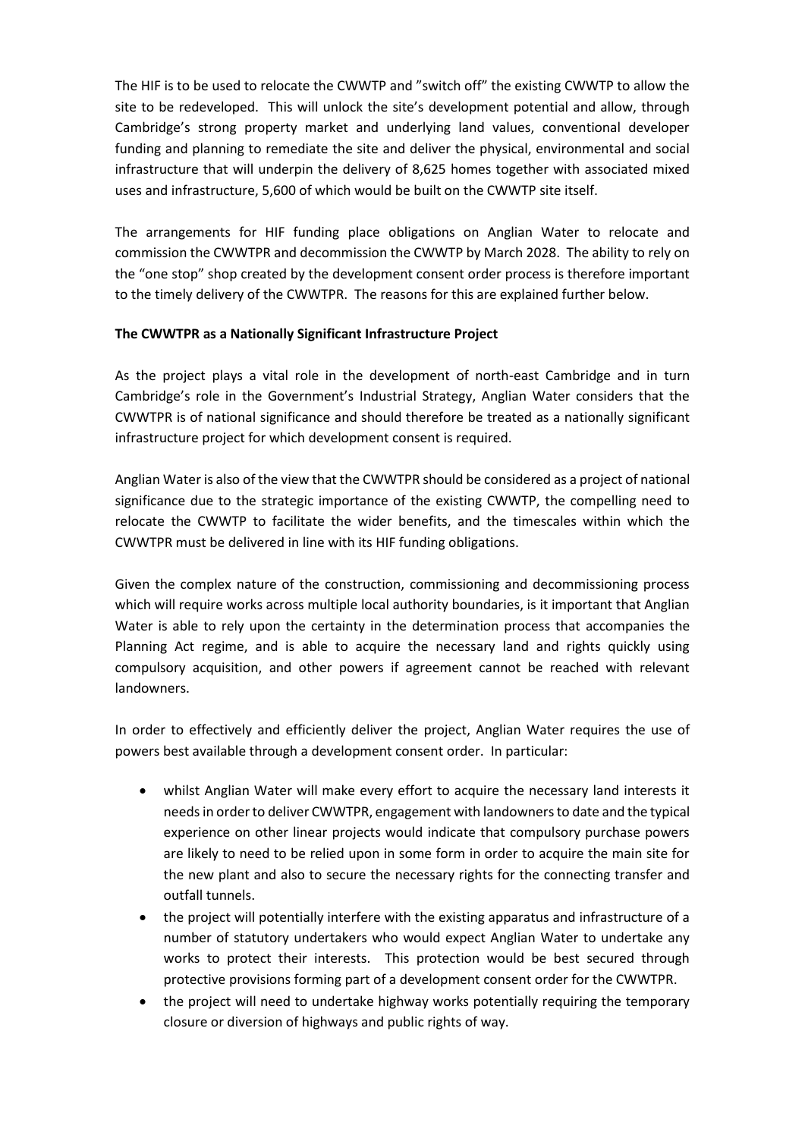The HIF is to be used to relocate the CWWTP and "switch off" the existing CWWTP to allow the site to be redeveloped. This will unlock the site's development potential and allow, through Cambridge's strong property market and underlying land values, conventional developer funding and planning to remediate the site and deliver the physical, environmental and social infrastructure that will underpin the delivery of 8,625 homes together with associated mixed uses and infrastructure, 5,600 of which would be built on the CWWTP site itself.

The arrangements for HIF funding place obligations on Anglian Water to relocate and commission the CWWTPR and decommission the CWWTP by March 2028. The ability to rely on the "one stop" shop created by the development consent order process is therefore important to the timely delivery of the CWWTPR. The reasons for this are explained further below.

#### **The CWWTPR as a Nationally Significant Infrastructure Project**

As the project plays a vital role in the development of north-east Cambridge and in turn Cambridge's role in the Government's Industrial Strategy, Anglian Water considers that the CWWTPR is of national significance and should therefore be treated as a nationally significant infrastructure project for which development consent is required.

Anglian Water is also of the view that the CWWTPR should be considered as a project of national significance due to the strategic importance of the existing CWWTP, the compelling need to relocate the CWWTP to facilitate the wider benefits, and the timescales within which the CWWTPR must be delivered in line with its HIF funding obligations.

Given the complex nature of the construction, commissioning and decommissioning process which will require works across multiple local authority boundaries, is it important that Anglian Water is able to rely upon the certainty in the determination process that accompanies the Planning Act regime, and is able to acquire the necessary land and rights quickly using compulsory acquisition, and other powers if agreement cannot be reached with relevant landowners.

In order to effectively and efficiently deliver the project, Anglian Water requires the use of powers best available through a development consent order. In particular:

- whilst Anglian Water will make every effort to acquire the necessary land interests it needs in order to deliver CWWTPR, engagement with landowners to date and the typical experience on other linear projects would indicate that compulsory purchase powers are likely to need to be relied upon in some form in order to acquire the main site for the new plant and also to secure the necessary rights for the connecting transfer and outfall tunnels.
- the project will potentially interfere with the existing apparatus and infrastructure of a number of statutory undertakers who would expect Anglian Water to undertake any works to protect their interests. This protection would be best secured through protective provisions forming part of a development consent order for the CWWTPR.
- the project will need to undertake highway works potentially requiring the temporary closure or diversion of highways and public rights of way.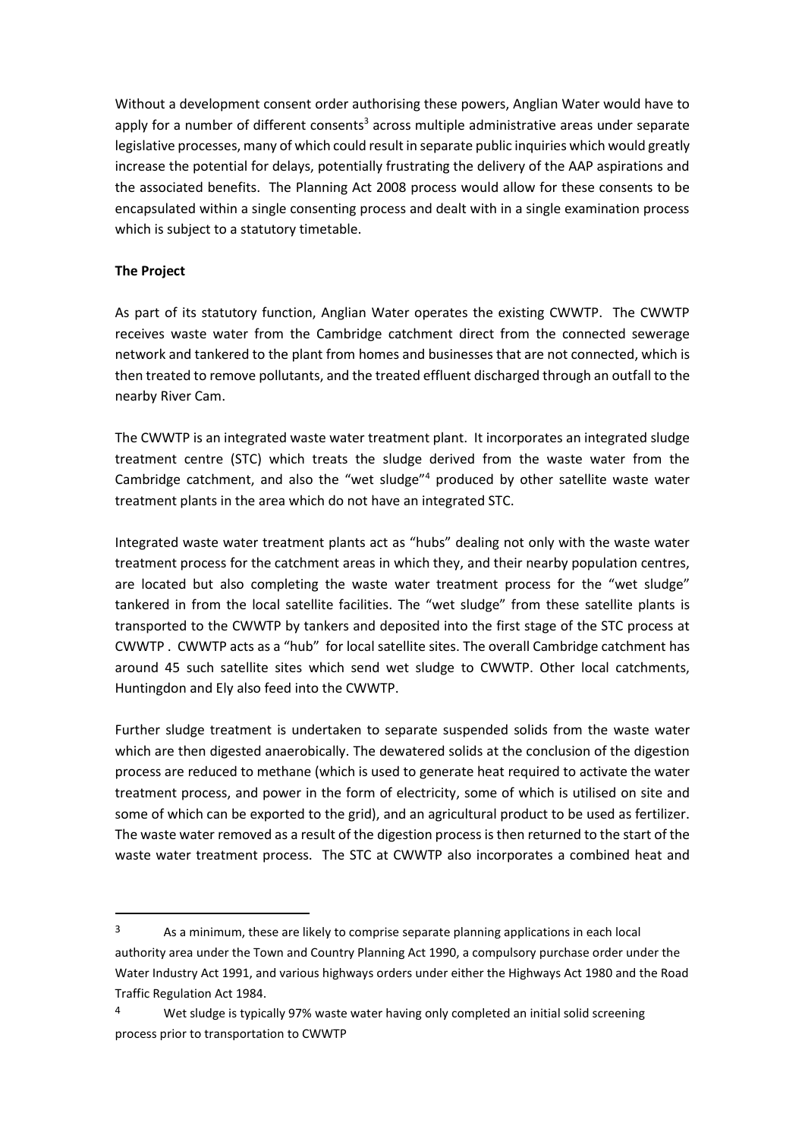Without a development consent order authorising these powers, Anglian Water would have to apply for a number of different consents<sup>3</sup> across multiple administrative areas under separate legislative processes, many of which could result in separate public inquiries which would greatly increase the potential for delays, potentially frustrating the delivery of the AAP aspirations and the associated benefits. The Planning Act 2008 process would allow for these consents to be encapsulated within a single consenting process and dealt with in a single examination process which is subject to a statutory timetable.

#### **The Project**

**.** 

As part of its statutory function, Anglian Water operates the existing CWWTP. The CWWTP receives waste water from the Cambridge catchment direct from the connected sewerage network and tankered to the plant from homes and businesses that are not connected, which is then treated to remove pollutants, and the treated effluent discharged through an outfall to the nearby River Cam.

The CWWTP is an integrated waste water treatment plant. It incorporates an integrated sludge treatment centre (STC) which treats the sludge derived from the waste water from the Cambridge catchment, and also the "wet sludge"<sup>4</sup> produced by other satellite waste water treatment plants in the area which do not have an integrated STC.

Integrated waste water treatment plants act as "hubs" dealing not only with the waste water treatment process for the catchment areas in which they, and their nearby population centres, are located but also completing the waste water treatment process for the "wet sludge" tankered in from the local satellite facilities. The "wet sludge" from these satellite plants is transported to the CWWTP by tankers and deposited into the first stage of the STC process at CWWTP . CWWTP acts as a "hub" for local satellite sites. The overall Cambridge catchment has around 45 such satellite sites which send wet sludge to CWWTP. Other local catchments, Huntingdon and Ely also feed into the CWWTP.

Further sludge treatment is undertaken to separate suspended solids from the waste water which are then digested anaerobically. The dewatered solids at the conclusion of the digestion process are reduced to methane (which is used to generate heat required to activate the water treatment process, and power in the form of electricity, some of which is utilised on site and some of which can be exported to the grid), and an agricultural product to be used as fertilizer. The waste water removed as a result of the digestion process is then returned to the start of the waste water treatment process. The STC at CWWTP also incorporates a combined heat and

<sup>&</sup>lt;sup>3</sup> As a minimum, these are likely to comprise separate planning applications in each local authority area under the Town and Country Planning Act 1990, a compulsory purchase order under the Water Industry Act 1991, and various highways orders under either the Highways Act 1980 and the Road Traffic Regulation Act 1984.

<sup>&</sup>lt;sup>4</sup> Wet sludge is typically 97% waste water having only completed an initial solid screening process prior to transportation to CWWTP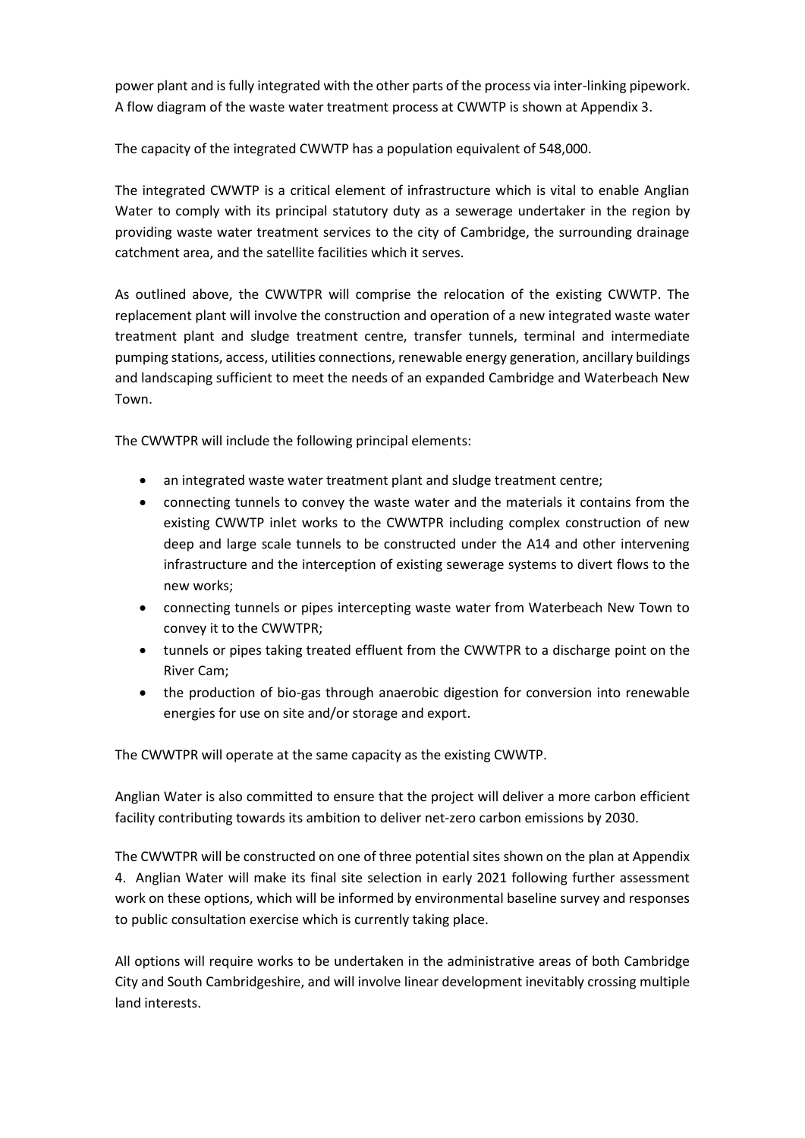power plant and is fully integrated with the other parts of the process via inter-linking pipework. A flow diagram of the waste water treatment process at CWWTP is shown at Appendix 3.

The capacity of the integrated CWWTP has a population equivalent of 548,000.

The integrated CWWTP is a critical element of infrastructure which is vital to enable Anglian Water to comply with its principal statutory duty as a sewerage undertaker in the region by providing waste water treatment services to the city of Cambridge, the surrounding drainage catchment area, and the satellite facilities which it serves.

As outlined above, the CWWTPR will comprise the relocation of the existing CWWTP. The replacement plant will involve the construction and operation of a new integrated waste water treatment plant and sludge treatment centre, transfer tunnels, terminal and intermediate pumping stations, access, utilities connections, renewable energy generation, ancillary buildings and landscaping sufficient to meet the needs of an expanded Cambridge and Waterbeach New Town.

The CWWTPR will include the following principal elements:

- an integrated waste water treatment plant and sludge treatment centre;
- connecting tunnels to convey the waste water and the materials it contains from the existing CWWTP inlet works to the CWWTPR including complex construction of new deep and large scale tunnels to be constructed under the A14 and other intervening infrastructure and the interception of existing sewerage systems to divert flows to the new works;
- connecting tunnels or pipes intercepting waste water from Waterbeach New Town to convey it to the CWWTPR;
- tunnels or pipes taking treated effluent from the CWWTPR to a discharge point on the River Cam;
- the production of bio-gas through anaerobic digestion for conversion into renewable energies for use on site and/or storage and export.

The CWWTPR will operate at the same capacity as the existing CWWTP.

Anglian Water is also committed to ensure that the project will deliver a more carbon efficient facility contributing towards its ambition to deliver net-zero carbon emissions by 2030.

The CWWTPR will be constructed on one of three potential sites shown on the plan at Appendix 4. Anglian Water will make its final site selection in early 2021 following further assessment work on these options, which will be informed by environmental baseline survey and responses to public consultation exercise which is currently taking place.

All options will require works to be undertaken in the administrative areas of both Cambridge City and South Cambridgeshire, and will involve linear development inevitably crossing multiple land interests.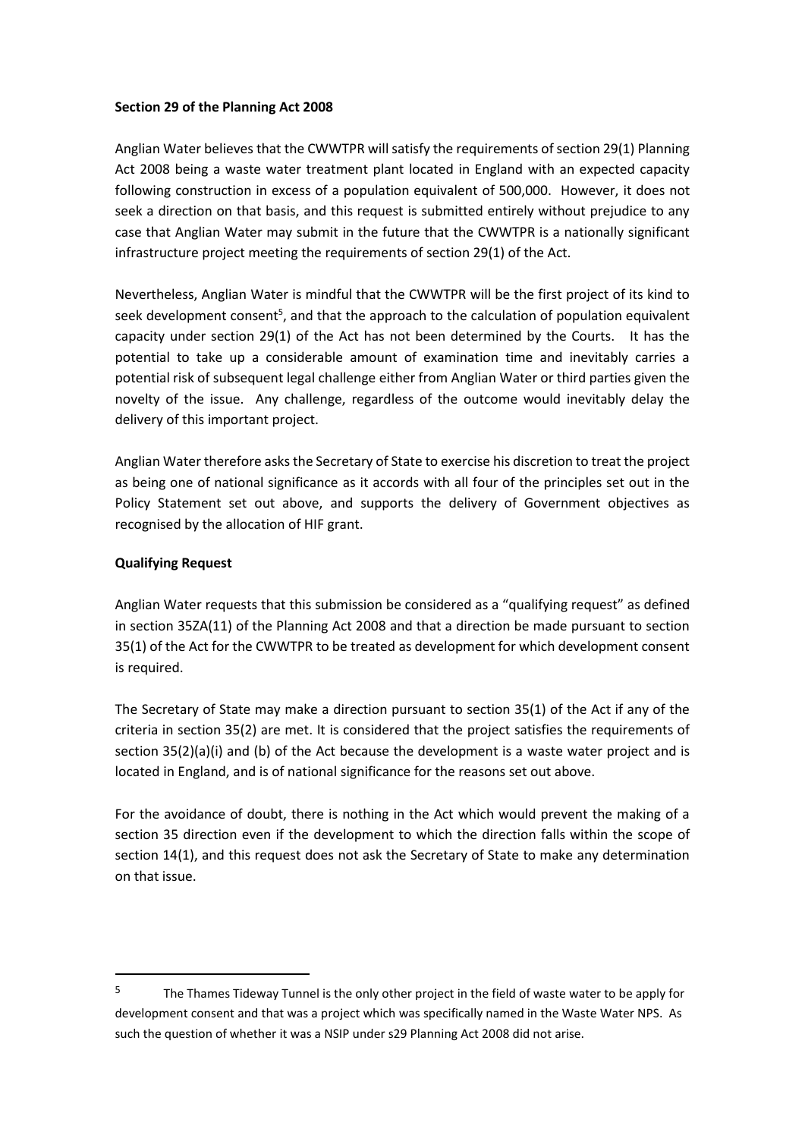#### **Section 29 of the Planning Act 2008**

Anglian Water believes that the CWWTPR will satisfy the requirements of section 29(1) Planning Act 2008 being a waste water treatment plant located in England with an expected capacity following construction in excess of a population equivalent of 500,000. However, it does not seek a direction on that basis, and this request is submitted entirely without prejudice to any case that Anglian Water may submit in the future that the CWWTPR is a nationally significant infrastructure project meeting the requirements of section 29(1) of the Act.

Nevertheless, Anglian Water is mindful that the CWWTPR will be the first project of its kind to seek development consent<sup>5</sup>, and that the approach to the calculation of population equivalent capacity under section 29(1) of the Act has not been determined by the Courts. It has the potential to take up a considerable amount of examination time and inevitably carries a potential risk of subsequent legal challenge either from Anglian Water or third parties given the novelty of the issue. Any challenge, regardless of the outcome would inevitably delay the delivery of this important project.

Anglian Water therefore asks the Secretary of State to exercise his discretion to treat the project as being one of national significance as it accords with all four of the principles set out in the Policy Statement set out above, and supports the delivery of Government objectives as recognised by the allocation of HIF grant.

#### **Qualifying Request**

**.** 

Anglian Water requests that this submission be considered as a "qualifying request" as defined in section 35ZA(11) of the Planning Act 2008 and that a direction be made pursuant to section 35(1) of the Act for the CWWTPR to be treated as development for which development consent is required.

The Secretary of State may make a direction pursuant to section 35(1) of the Act if any of the criteria in section 35(2) are met. It is considered that the project satisfies the requirements of section 35(2)(a)(i) and (b) of the Act because the development is a waste water project and is located in England, and is of national significance for the reasons set out above.

For the avoidance of doubt, there is nothing in the Act which would prevent the making of a section 35 direction even if the development to which the direction falls within the scope of section 14(1), and this request does not ask the Secretary of State to make any determination on that issue.

<sup>&</sup>lt;sup>5</sup> The Thames Tideway Tunnel is the only other project in the field of waste water to be apply for development consent and that was a project which was specifically named in the Waste Water NPS. As such the question of whether it was a NSIP under s29 Planning Act 2008 did not arise.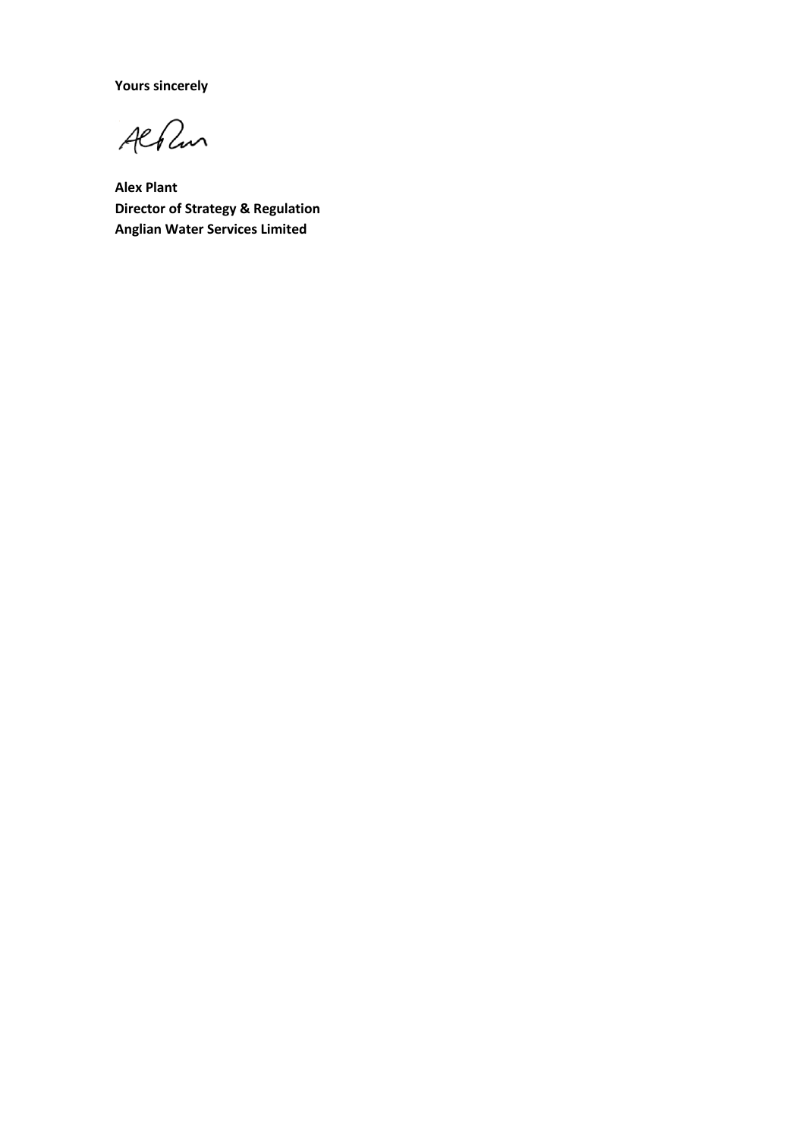**Yours sincerely**

Albun

**Alex Plant Director of Strategy & Regulation Anglian Water Services Limited**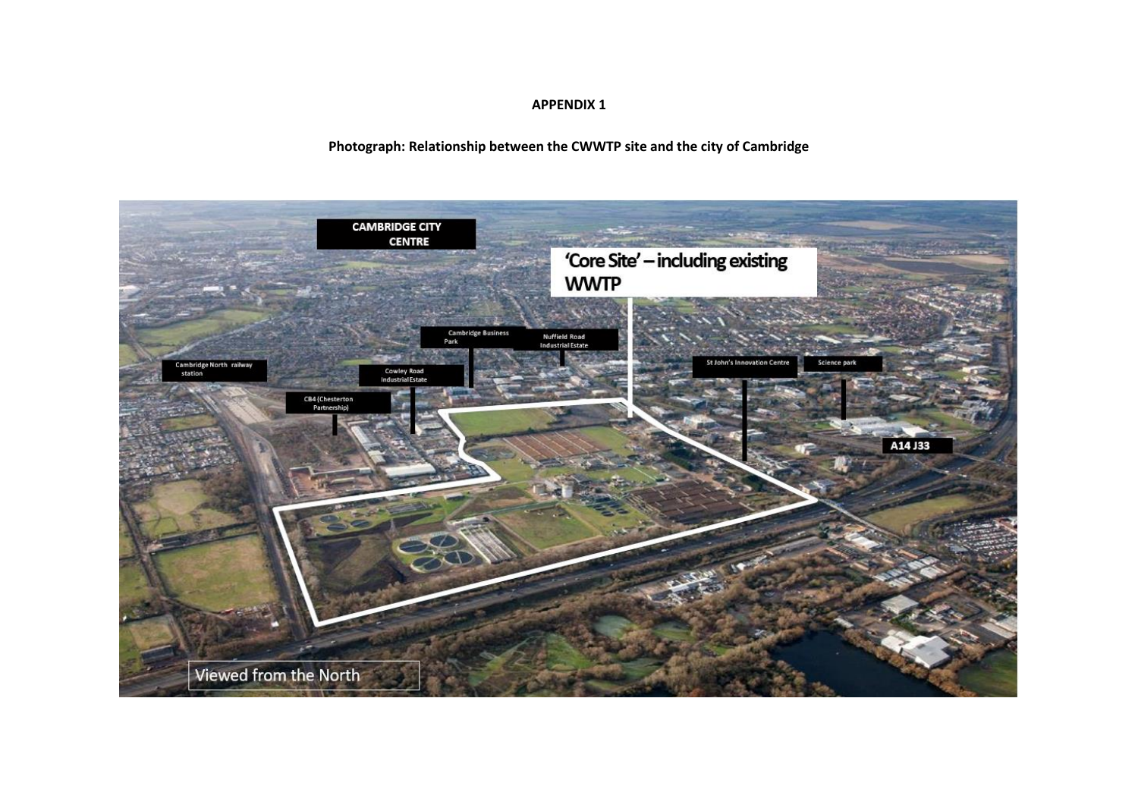#### **APPENDIX 1**

#### **Photograph: Relationship between the CWWTP site and the city of Cambridge**

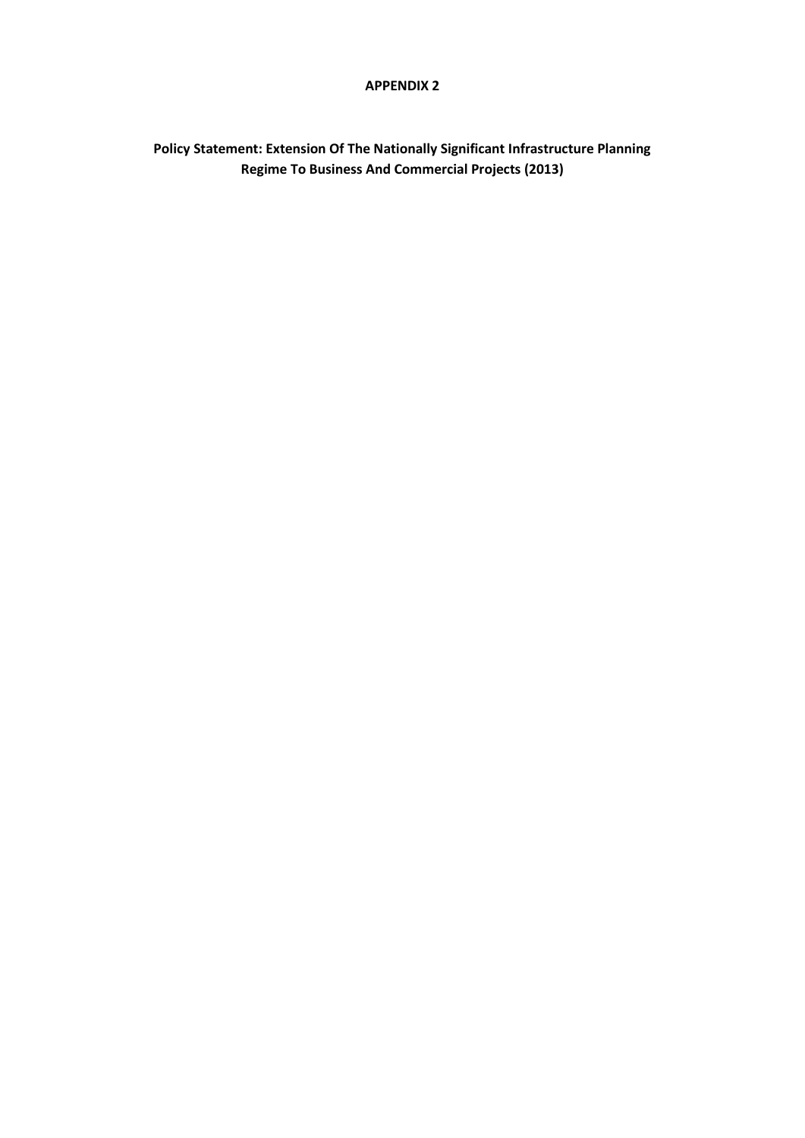#### **APPENDIX 2**

# **Policy Statement: Extension Of The Nationally Significant Infrastructure Planning Regime To Business And Commercial Projects (2013)**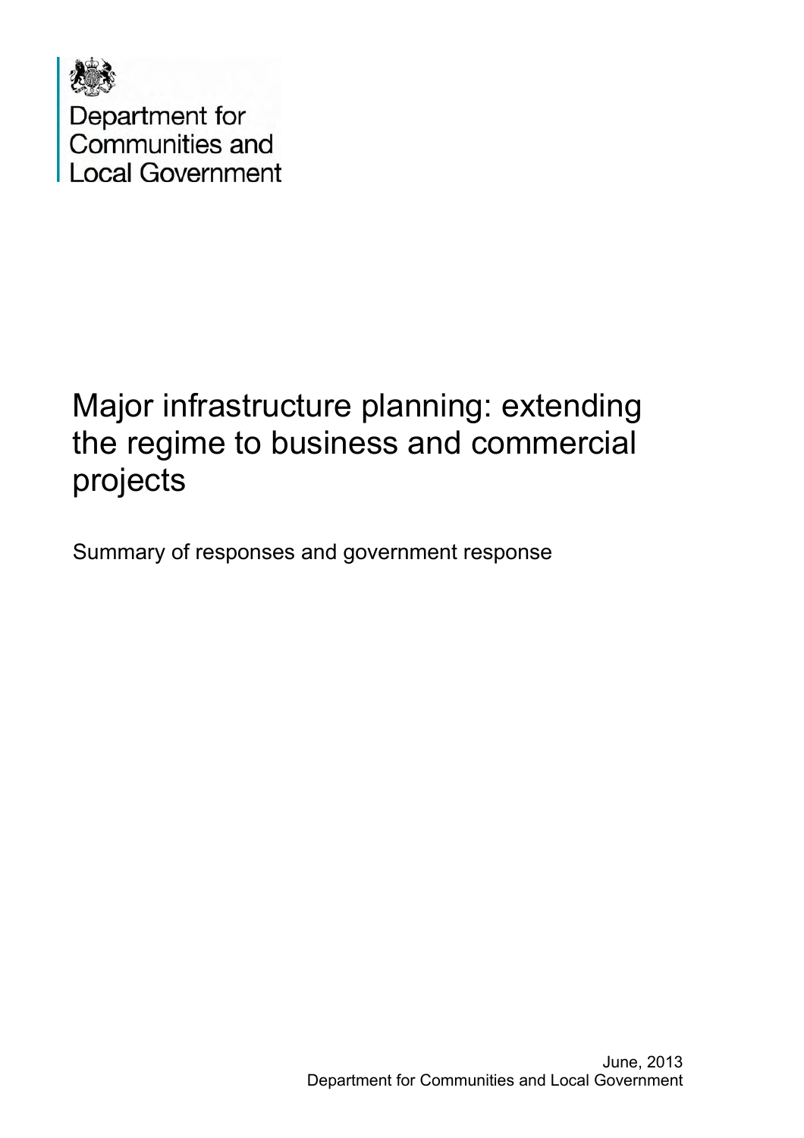

Department for<br>Communities and **Local Government** 

# Major infrastructure planning: extending the regime to business and commercial projects

Summary of responses and government response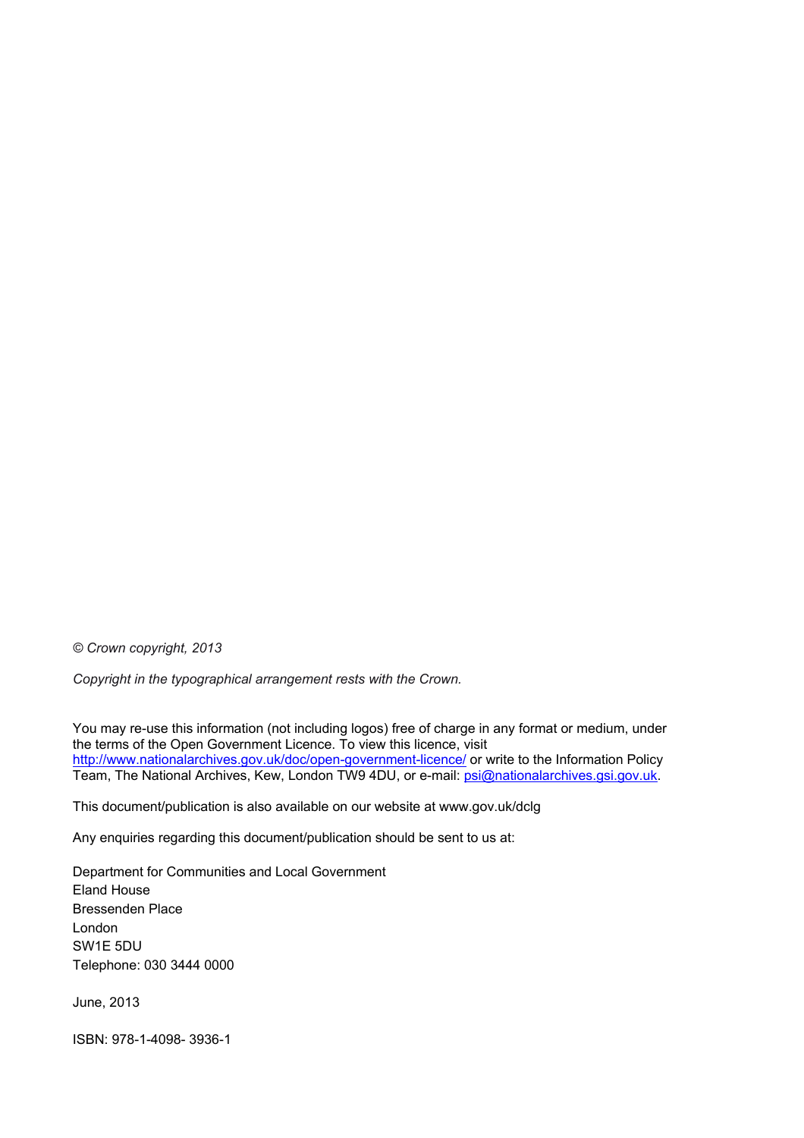*© Crown copyright, 2013* 

*Copyright in the typographical arrangement rests with the Crown.*

You may re-use this information (not including logos) free of charge in any format or medium, under the terms of the Open Government Licence. To view this licence, visit <http://www.nationalarchives.gov.uk/doc/open-government-licence/> or write to the Information Policy Team, The National Archives, Kew, London TW9 4DU, or e-mail: [psi@nationalarchives.gsi.gov.uk](mailto:psi@nationalarchives.gsi.gov.uk).

This document/publication is also available on our website at www.gov.uk/dclg

Any enquiries regarding this document/publication should be sent to us at:

Department for Communities and Local Government Eland House Bressenden Place London SW1E 5DU Telephone: 030 3444 0000

June, 2013

ISBN: 978-1-4098- 3936-1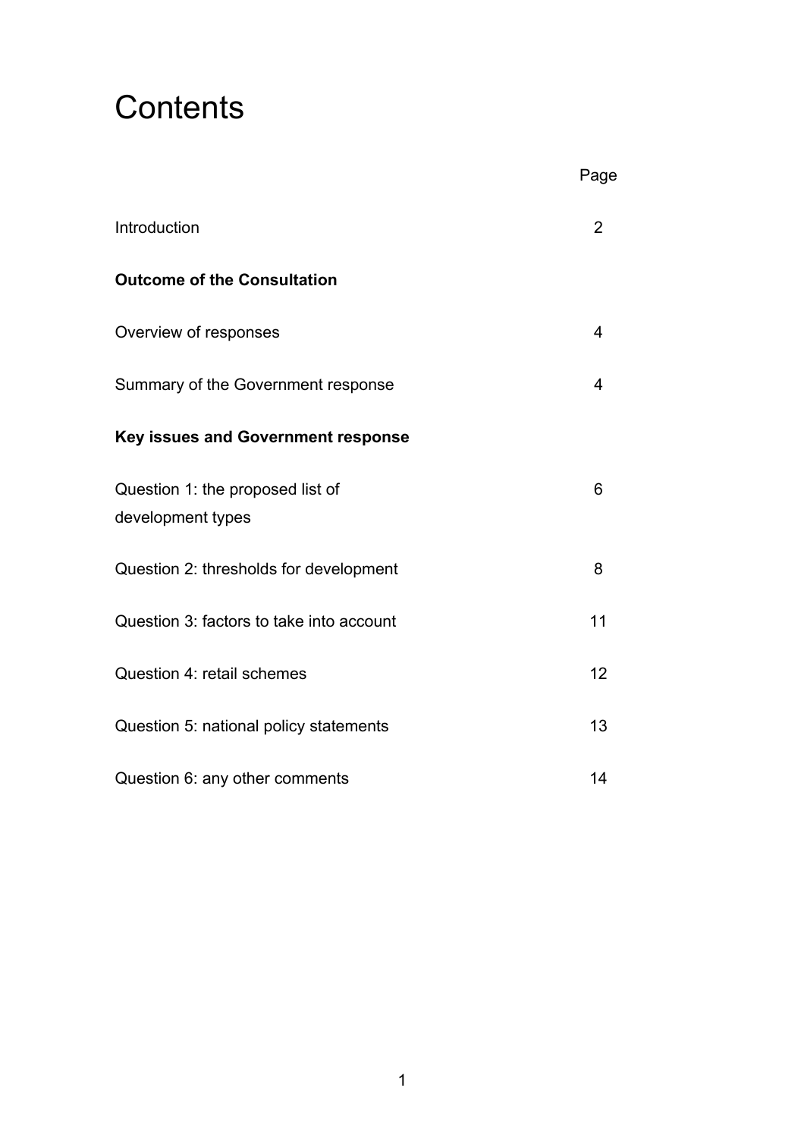# **Contents**

|                                                       | Page           |
|-------------------------------------------------------|----------------|
| Introduction                                          | $\overline{2}$ |
| <b>Outcome of the Consultation</b>                    |                |
| Overview of responses                                 | 4              |
| Summary of the Government response                    | 4              |
| <b>Key issues and Government response</b>             |                |
| Question 1: the proposed list of<br>development types | 6              |
| Question 2: thresholds for development                | 8              |
| Question 3: factors to take into account              | 11             |
| Question 4: retail schemes                            | 12             |
| Question 5: national policy statements                | 13             |
| Question 6: any other comments                        | 14             |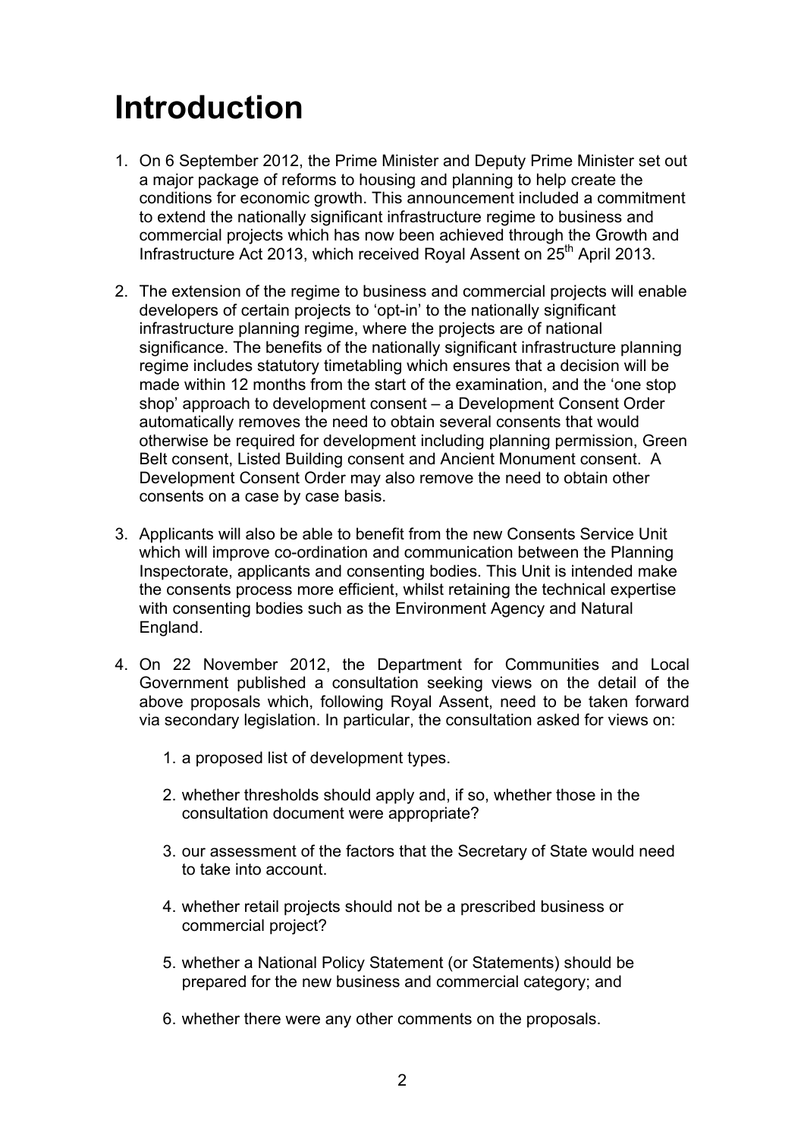# **Introduction**

- 1. On 6 September 2012, the Prime Minister and Deputy Prime Minister set out a major package of reforms to housing and planning to help create the conditions for economic growth. This announcement included a commitment to extend the nationally significant infrastructure regime to business and commercial projects which has now been achieved through the Growth and Infrastructure Act 2013, which received Royal Assent on  $25<sup>th</sup>$  April 2013.
- 2. The extension of the regime to business and commercial projects will enable developers of certain projects to 'opt-in' to the nationally significant infrastructure planning regime, where the projects are of national significance. The benefits of the nationally significant infrastructure planning regime includes statutory timetabling which ensures that a decision will be made within 12 months from the start of the examination, and the 'one stop shop' approach to development consent – a Development Consent Order automatically removes the need to obtain several consents that would otherwise be required for development including planning permission, Green Belt consent, Listed Building consent and Ancient Monument consent. A Development Consent Order may also remove the need to obtain other consents on a case by case basis.
- 3. Applicants will also be able to benefit from the new Consents Service Unit which will improve co-ordination and communication between the Planning Inspectorate, applicants and consenting bodies. This Unit is intended make the consents process more efficient, whilst retaining the technical expertise with consenting bodies such as the Environment Agency and Natural England.
- 4. On 22 November 2012, the Department for Communities and Local Government published a consultation seeking views on the detail of the above proposals which, following Royal Assent, need to be taken forward via secondary legislation. In particular, the consultation asked for views on:
	- 1. a proposed list of development types.
	- 2. whether thresholds should apply and, if so, whether those in the consultation document were appropriate?
	- 3. our assessment of the factors that the Secretary of State would need to take into account.
	- 4. whether retail projects should not be a prescribed business or commercial project?
	- 5. whether a National Policy Statement (or Statements) should be prepared for the new business and commercial category; and
	- 6. whether there were any other comments on the proposals.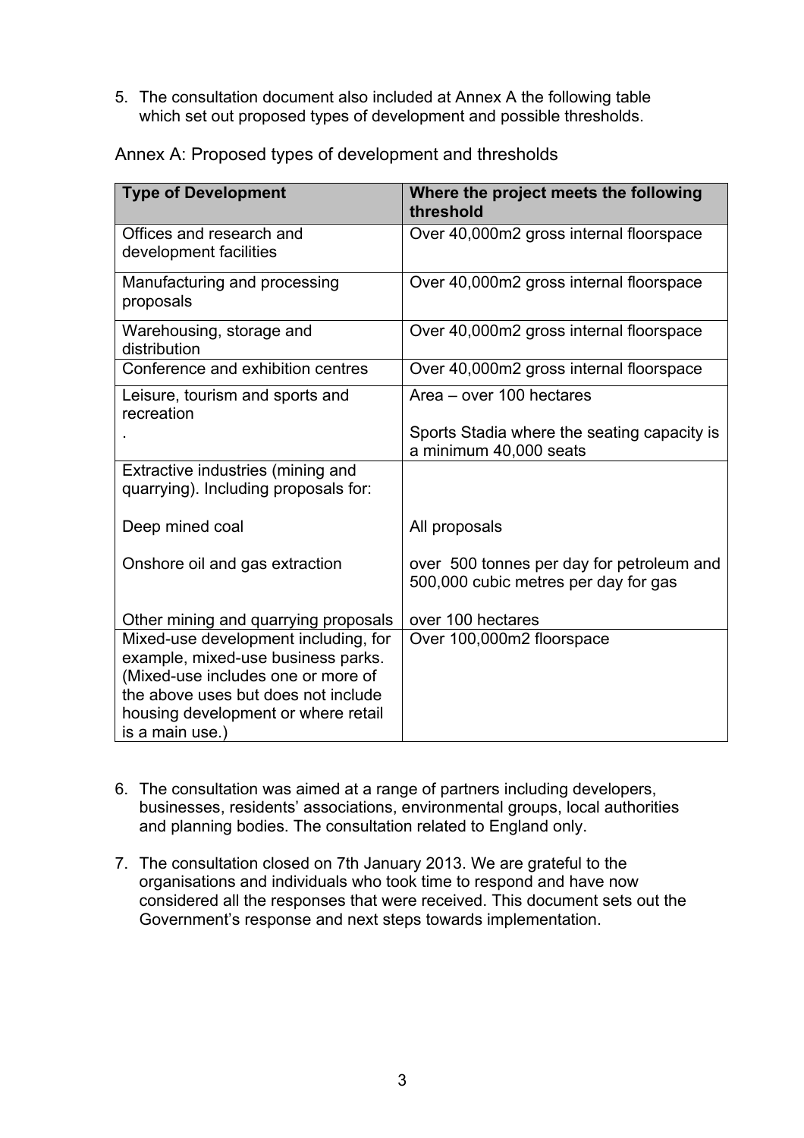5. The consultation document also included at Annex A the following table which set out proposed types of development and possible thresholds.

| <b>Type of Development</b>                                                                                                                                                                                        | Where the project meets the following<br>threshold                                |
|-------------------------------------------------------------------------------------------------------------------------------------------------------------------------------------------------------------------|-----------------------------------------------------------------------------------|
| Offices and research and<br>development facilities                                                                                                                                                                | Over 40,000m2 gross internal floorspace                                           |
| Manufacturing and processing<br>proposals                                                                                                                                                                         | Over 40,000m2 gross internal floorspace                                           |
| Warehousing, storage and<br>distribution                                                                                                                                                                          | Over 40,000m2 gross internal floorspace                                           |
| Conference and exhibition centres                                                                                                                                                                                 | Over 40,000m2 gross internal floorspace                                           |
| Leisure, tourism and sports and<br>recreation                                                                                                                                                                     | Area - over 100 hectares                                                          |
|                                                                                                                                                                                                                   | Sports Stadia where the seating capacity is<br>a minimum 40,000 seats             |
| Extractive industries (mining and<br>quarrying). Including proposals for:                                                                                                                                         |                                                                                   |
| Deep mined coal                                                                                                                                                                                                   | All proposals                                                                     |
| Onshore oil and gas extraction                                                                                                                                                                                    | over 500 tonnes per day for petroleum and<br>500,000 cubic metres per day for gas |
| Other mining and quarrying proposals                                                                                                                                                                              | over 100 hectares                                                                 |
| Mixed-use development including, for<br>example, mixed-use business parks.<br>(Mixed-use includes one or more of<br>the above uses but does not include<br>housing development or where retail<br>is a main use.) | Over 100,000m2 floorspace                                                         |

Annex A: Proposed types of development and thresholds

- 6. The consultation was aimed at a range of partners including developers, businesses, residents' associations, environmental groups, local authorities and planning bodies. The consultation related to England only.
- 7. The consultation closed on 7th January 2013. We are grateful to the organisations and individuals who took time to respond and have now considered all the responses that were received. This document sets out the Government's response and next steps towards implementation.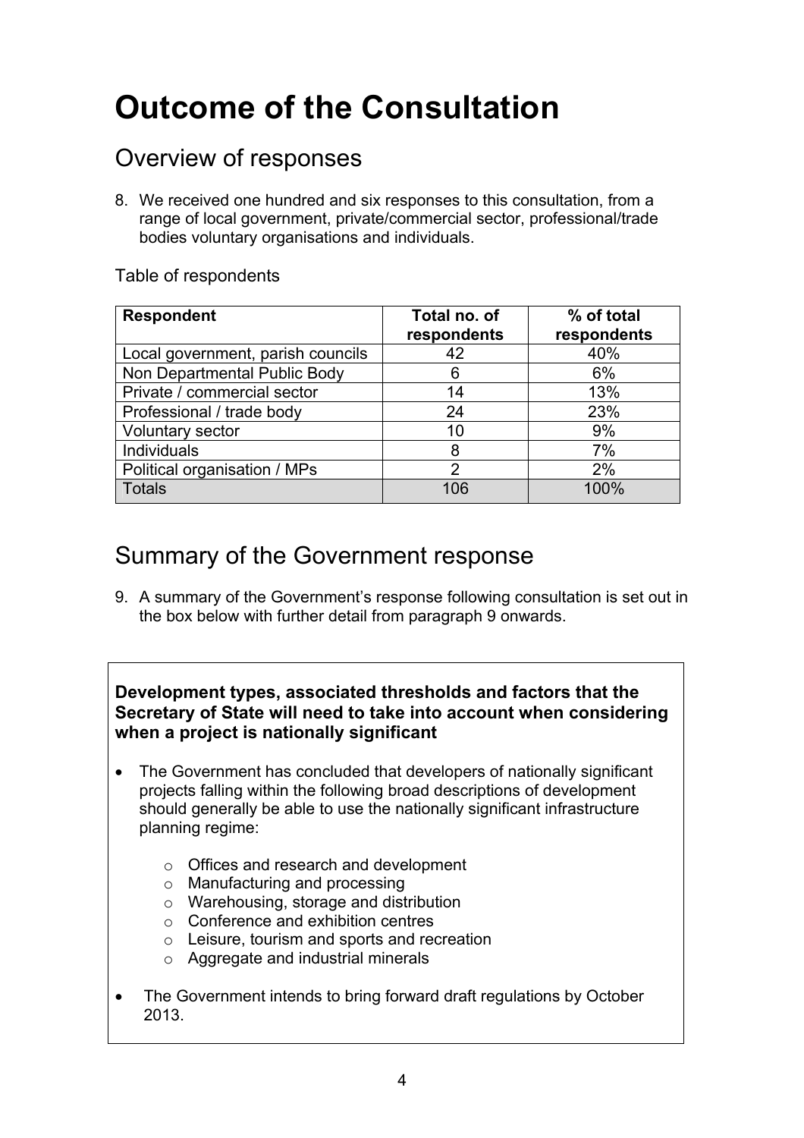# **Outcome of the Consultation**

# Overview of responses

8. We received one hundred and six responses to this consultation, from a range of local government, private/commercial sector, professional/trade bodies voluntary organisations and individuals.

# Table of respondents

| <b>Respondent</b>                 | Total no. of<br>respondents | % of total<br>respondents |
|-----------------------------------|-----------------------------|---------------------------|
| Local government, parish councils | 42                          | 40%                       |
| Non Departmental Public Body      | 6                           | 6%                        |
| Private / commercial sector       | 14                          | 13%                       |
| Professional / trade body         | 24                          | 23%                       |
| <b>Voluntary sector</b>           | 10                          | 9%                        |
| <b>Individuals</b>                | 8                           | 7%                        |
| Political organisation / MPs      | $\mathcal{P}$               | 2%                        |
| <b>Totals</b>                     | 106                         | 100%                      |

# Summary of the Government response

9. A summary of the Government's response following consultation is set out in the box below with further detail from paragraph 9 onwards.

# **Development types, associated thresholds and factors that the Secretary of State will need to take into account when considering when a project is nationally significant**

- The Government has concluded that developers of nationally significant projects falling within the following broad descriptions of development should generally be able to use the nationally significant infrastructure planning regime:
	- o Offices and research and development
	- o Manufacturing and processing
	- o Warehousing, storage and distribution
	- o Conference and exhibition centres
	- o Leisure, tourism and sports and recreation
	- o Aggregate and industrial minerals
- The Government intends to bring forward draft regulations by October 2013.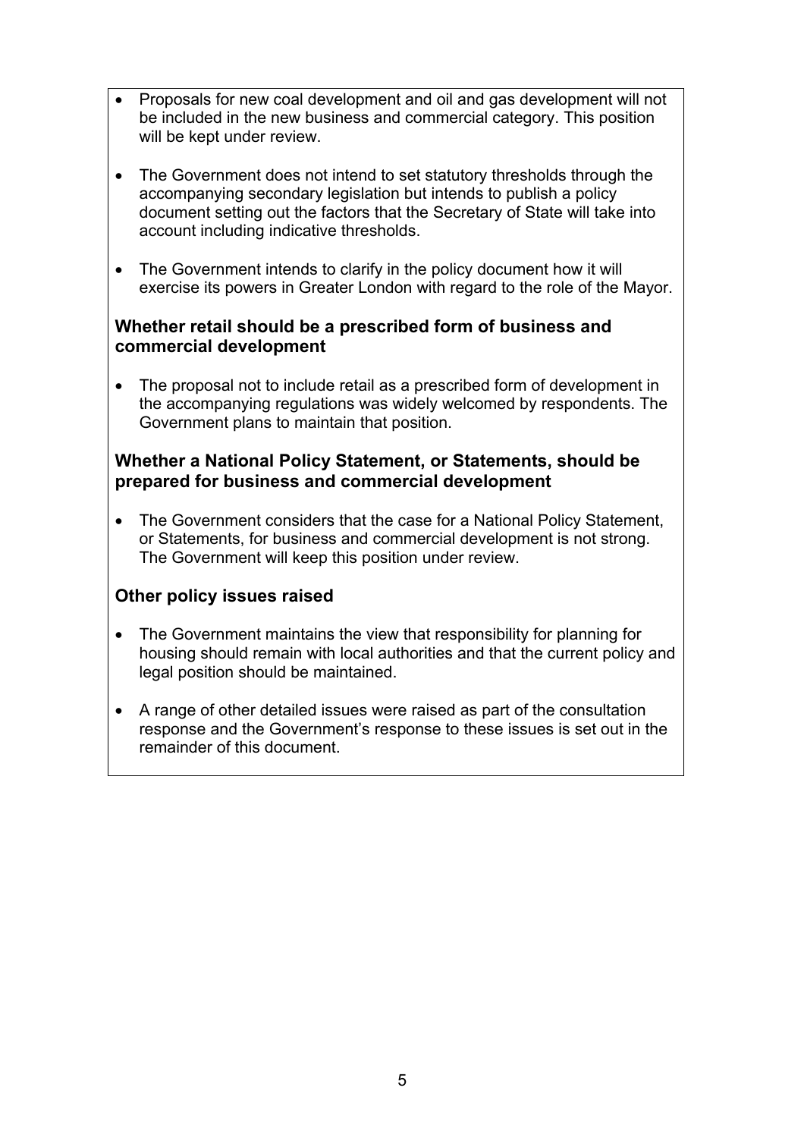- Proposals for new coal development and oil and gas development will not be included in the new business and commercial category. This position will be kept under review.
- The Government does not intend to set statutory thresholds through the accompanying secondary legislation but intends to publish a policy document setting out the factors that the Secretary of State will take into account including indicative thresholds.
- The Government intends to clarify in the policy document how it will exercise its powers in Greater London with regard to the role of the Mayor.

# **Whether retail should be a prescribed form of business and commercial development**

• The proposal not to include retail as a prescribed form of development in the accompanying regulations was widely welcomed by respondents. The Government plans to maintain that position.

# **Whether a National Policy Statement, or Statements, should be prepared for business and commercial development**

• The Government considers that the case for a National Policy Statement, or Statements, for business and commercial development is not strong. The Government will keep this position under review.

# **Other policy issues raised**

- The Government maintains the view that responsibility for planning for housing should remain with local authorities and that the current policy and legal position should be maintained.
- A range of other detailed issues were raised as part of the consultation response and the Government's response to these issues is set out in the remainder of this document.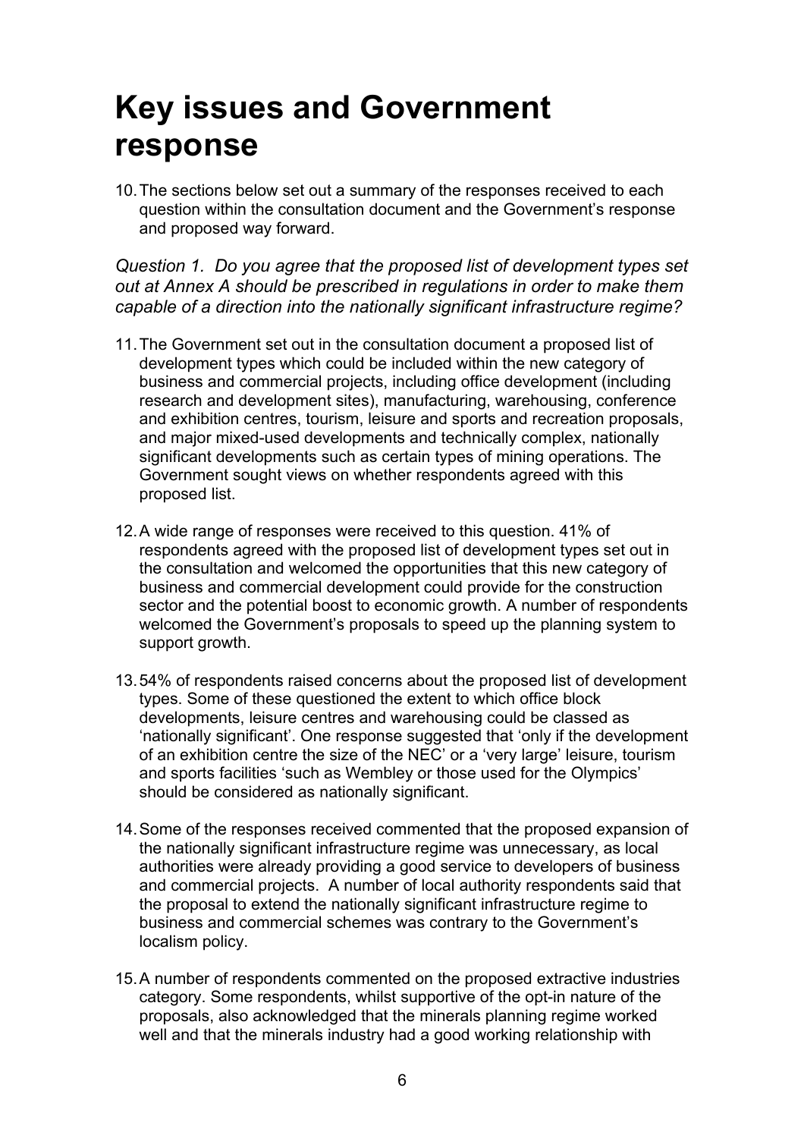# **Key issues and Government response**

10. The sections below set out a summary of the responses received to each question within the consultation document and the Government's response and proposed way forward.

# *Question 1. Do you agree that the proposed list of development types set out at Annex A should be prescribed in regulations in order to make them capable of a direction into the nationally significant infrastructure regime?*

- 11. The Government set out in the consultation document a proposed list of development types which could be included within the new category of business and commercial projects, including office development (including research and development sites), manufacturing, warehousing, conference and exhibition centres, tourism, leisure and sports and recreation proposals, and major mixed-used developments and technically complex, nationally significant developments such as certain types of mining operations. The Government sought views on whether respondents agreed with this proposed list.
- 12. A wide range of responses were received to this question. 41% of respondents agreed with the proposed list of development types set out in the consultation and welcomed the opportunities that this new category of business and commercial development could provide for the construction sector and the potential boost to economic growth. A number of respondents welcomed the Government's proposals to speed up the planning system to support growth.
- 13. 54% of respondents raised concerns about the proposed list of development types. Some of these questioned the extent to which office block developments, leisure centres and warehousing could be classed as 'nationally significant'. One response suggested that 'only if the development of an exhibition centre the size of the NEC' or a 'very large' leisure, tourism and sports facilities 'such as Wembley or those used for the Olympics' should be considered as nationally significant.
- 14. Some of the responses received commented that the proposed expansion of the nationally significant infrastructure regime was unnecessary, as local authorities were already providing a good service to developers of business and commercial projects. A number of local authority respondents said that the proposal to extend the nationally significant infrastructure regime to business and commercial schemes was contrary to the Government's localism policy.
- 15. A number of respondents commented on the proposed extractive industries category. Some respondents, whilst supportive of the opt-in nature of the proposals, also acknowledged that the minerals planning regime worked well and that the minerals industry had a good working relationship with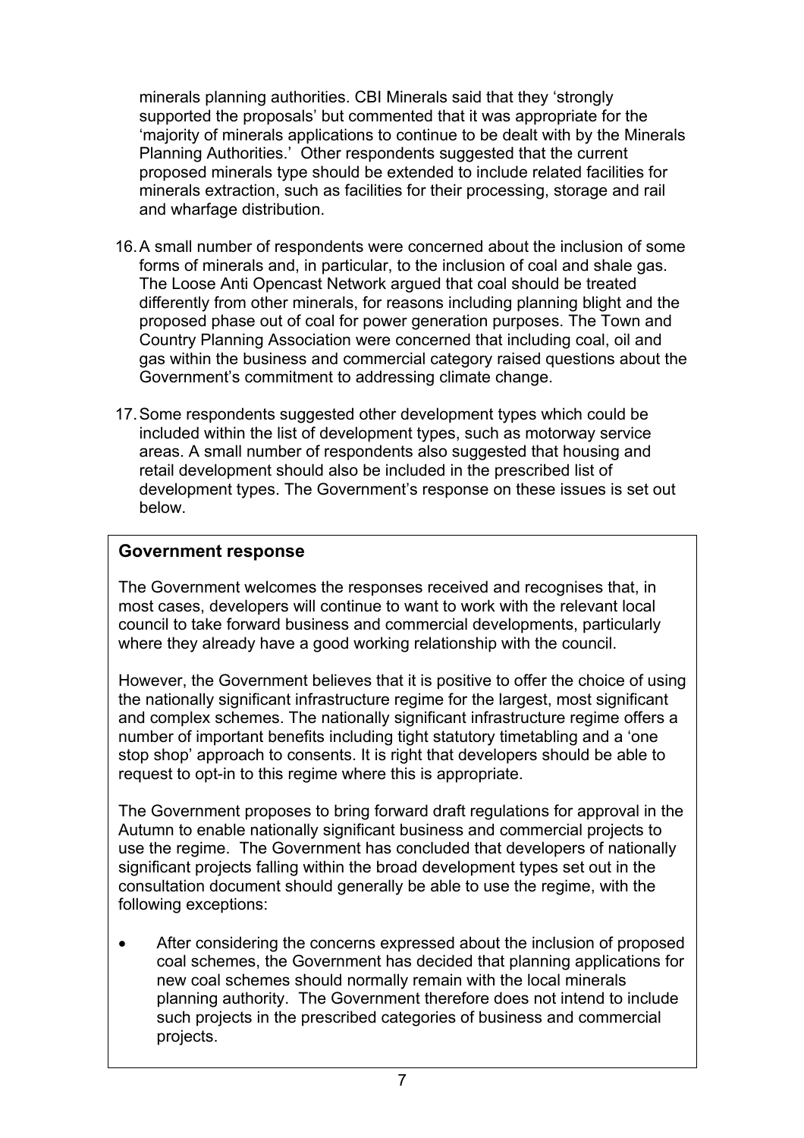minerals planning authorities. CBI Minerals said that they 'strongly supported the proposals' but commented that it was appropriate for the 'majority of minerals applications to continue to be dealt with by the Minerals Planning Authorities.' Other respondents suggested that the current proposed minerals type should be extended to include related facilities for minerals extraction, such as facilities for their processing, storage and rail and wharfage distribution.

- 16. A small number of respondents were concerned about the inclusion of some forms of minerals and, in particular, to the inclusion of coal and shale gas. The Loose Anti Opencast Network argued that coal should be treated differently from other minerals, for reasons including planning blight and the proposed phase out of coal for power generation purposes. The Town and Country Planning Association were concerned that including coal, oil and gas within the business and commercial category raised questions about the Government's commitment to addressing climate change.
- 17. Some respondents suggested other development types which could be included within the list of development types, such as motorway service areas. A small number of respondents also suggested that housing and retail development should also be included in the prescribed list of development types. The Government's response on these issues is set out below.

# **18. 4 4 of response on the proposed list of development response and development of development on the proposed list of development of development of development of development of development of development of development**

The Government welcomes the responses received and recognises that, in most cases, developers will continue to want to work with the relevant local council to take forward business and commercial developments, particularly where they already have a good working relationship with the council.

However, the Government believes that it is positive to offer the choice of using the nationally significant infrastructure regime for the largest, most significant and complex schemes. The nationally significant infrastructure regime offers a number of important benefits including tight statutory timetabling and a 'one stop shop' approach to consents. It is right that developers should be able to request to opt-in to this regime where this is appropriate.

The Government proposes to bring forward draft regulations for approval in the Autumn to enable nationally significant business and commercial projects to use the regime. The Government has concluded that developers of nationally significant projects falling within the broad development types set out in the consultation document should generally be able to use the regime, with the following exceptions:

After considering the concerns expressed about the inclusion of proposed coal schemes, the Government has decided that planning applications for new coal schemes should normally remain with the local minerals planning authority. The Government therefore does not intend to include such projects in the prescribed categories of business and commercial projects.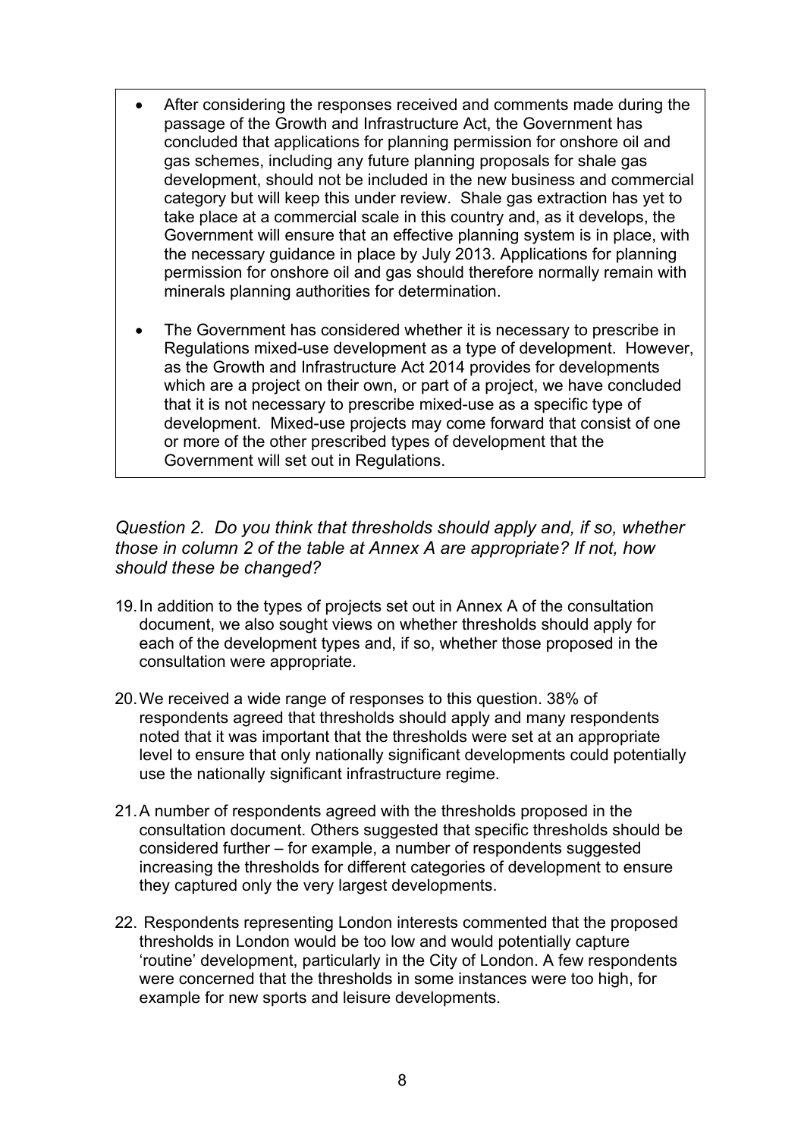- After considering the responses received and comments made during the passage of the Growth and Infrastructure Act, the Government has concluded that applications for planning permission for onshore oil and gas schemes, including any future planning proposals for shale gas development, should not be included in the new business and commercial category but will keep this under review. Shale gas extraction has yet to take place at a commercial scale in this country and, as it develops, the Government will ensure that an effective planning system is in place, with the necessary guidance in place by July 2013. Applications for planning permission for onshore oil and gas should therefore normally remain with minerals planning authorities for determination.
- The Government has considered whether it is necessary to prescribe in Regulations mixed-use development as a type of development. However, as the Growth and Infrastructure Act 2014 provides for developments which are a project on their own, or part of a project, we have concluded that it is not necessary to prescribe mixed-use as a specific type of development. Mixed-use projects may come forward that consist of one or more of the other prescribed types of development that the Government will set out in Regulations.

*Question 2. Do you think that thresholds should apply and, if so, whether those in column 2 of the table at Annex A are appropriate? If not, how should these be changed?* 

- 19. In addition to the types of projects set out in Annex A of the consultation document, we also sought views on whether thresholds should apply for each of the development types and, if so, whether those proposed in the consultation were appropriate.
- 20. We received a wide range of responses to this question. 38% of respondents agreed that thresholds should apply and many respondents noted that it was important that the thresholds were set at an appropriate level to ensure that only nationally significant developments could potentially use the nationally significant infrastructure regime.
- 21. A number of respondents agreed with the thresholds proposed in the consultation document. Others suggested that specific thresholds should be considered further – for example, a number of respondents suggested increasing the thresholds for different categories of development to ensure they captured only the very largest developments.
- 22. Respondents representing London interests commented that the proposed thresholds in London would be too low and would potentially capture 'routine' development, particularly in the City of London. A few respondents were concerned that the thresholds in some instances were too high, for example for new sports and leisure developments.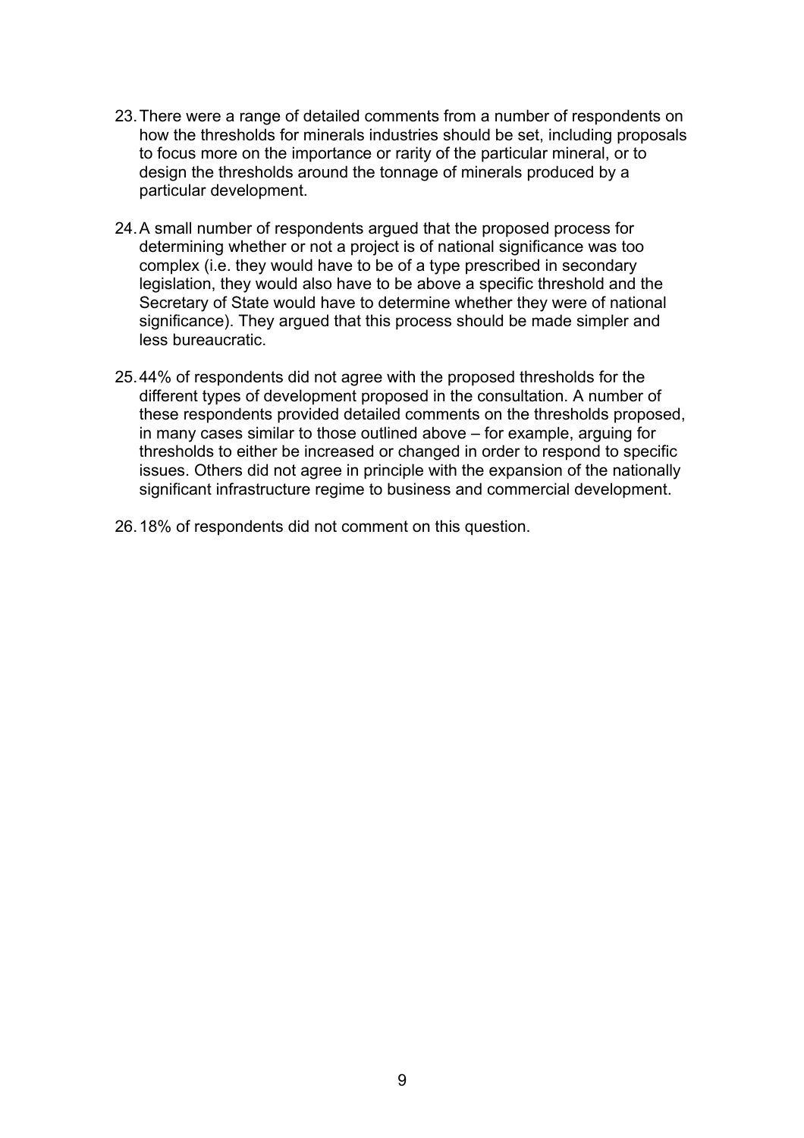- 23. There were a range of detailed comments from a number of respondents on how the thresholds for minerals industries should be set, including proposals to focus more on the importance or rarity of the particular mineral, or to design the thresholds around the tonnage of minerals produced by a particular development.
- 24. A small number of respondents argued that the proposed process for determining whether or not a project is of national significance was too complex (i.e. they would have to be of a type prescribed in secondary legislation, they would also have to be above a specific threshold and the Secretary of State would have to determine whether they were of national significance). They argued that this process should be made simpler and less bureaucratic.
- 25. 44% of respondents did not agree with the proposed thresholds for the different types of development proposed in the consultation. A number of these respondents provided detailed comments on the thresholds proposed, in many cases similar to those outlined above – for example, arguing for thresholds to either be increased or changed in order to respond to specific issues. Others did not agree in principle with the expansion of the nationally significant infrastructure regime to business and commercial development.
- 26. 18% of respondents did not comment on this question.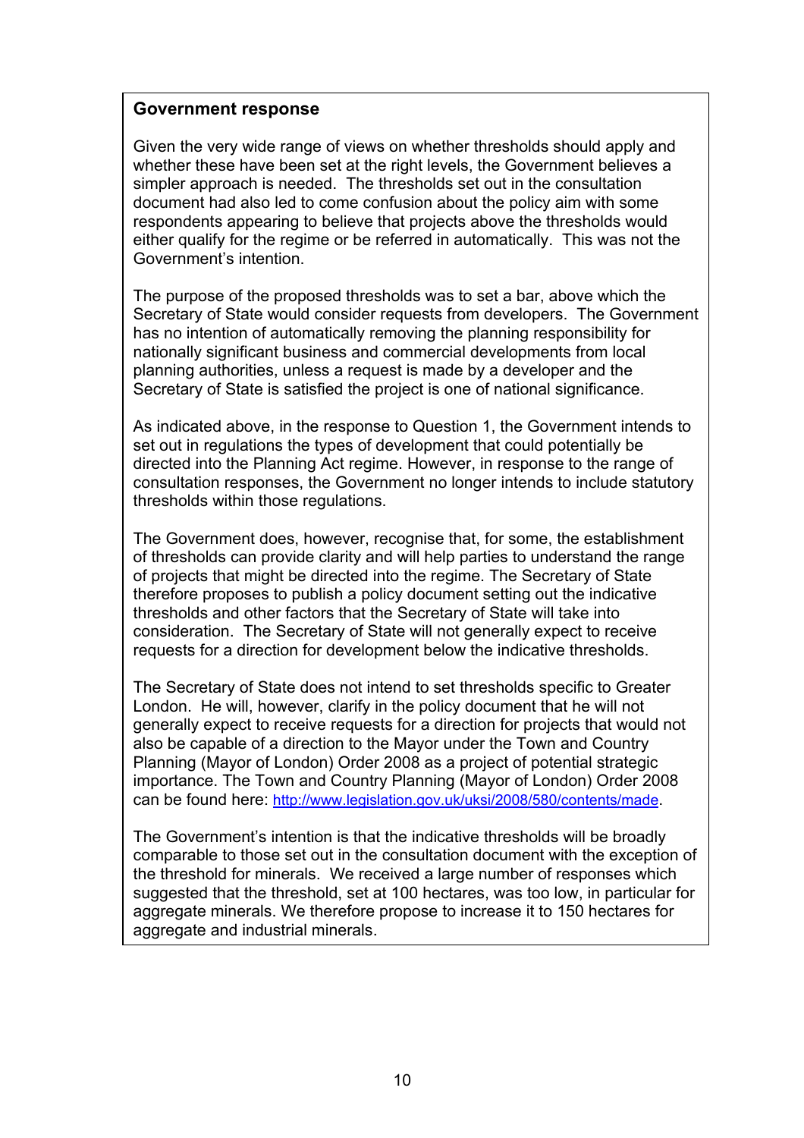### **Government response**

Given the very wide range of views on whether thresholds should apply and whether these have been set at the right levels, the Government believes a simpler approach is needed. The thresholds set out in the consultation document had also led to come confusion about the policy aim with some respondents appearing to believe that projects above the thresholds would either qualify for the regime or be referred in automatically. This was not the Government's intention.

The purpose of the proposed thresholds was to set a bar, above which the Secretary of State would consider requests from developers. The Government has no intention of automatically removing the planning responsibility for nationally significant business and commercial developments from local planning authorities, unless a request is made by a developer and the Secretary of State is satisfied the project is one of national significance.

As indicated above, in the response to Question 1, the Government intends to set out in regulations the types of development that could potentially be directed into the Planning Act regime. However, in response to the range of consultation responses, the Government no longer intends to include statutory thresholds within those regulations.

The Government does, however, recognise that, for some, the establishment of thresholds can provide clarity and will help parties to understand the range of projects that might be directed into the regime. The Secretary of State therefore proposes to publish a policy document setting out the indicative thresholds and other factors that the Secretary of State will take into consideration. The Secretary of State will not generally expect to receive requests for a direction for development below the indicative thresholds.

The Secretary of State does not intend to set thresholds specific to Greater London. He will, however, clarify in the policy document that he will not generally expect to receive requests for a direction for projects that would not also be capable of a direction to the Mayor under the Town and Country Planning (Mayor of London) Order 2008 as a project of potential strategic importance. The Town and Country Planning (Mayor of London) Order 2008 can be found here:<http://www.legislation.gov.uk/uksi/2008/580/contents/made>.

The Government's intention is that the indicative thresholds will be broadly comparable to those set out in the consultation document with the exception of the threshold for minerals. We received a large number of responses which suggested that the threshold, set at 100 hectares, was too low, in particular for aggregate minerals. We therefore propose to increase it to 150 hectares for aggregate and industrial minerals.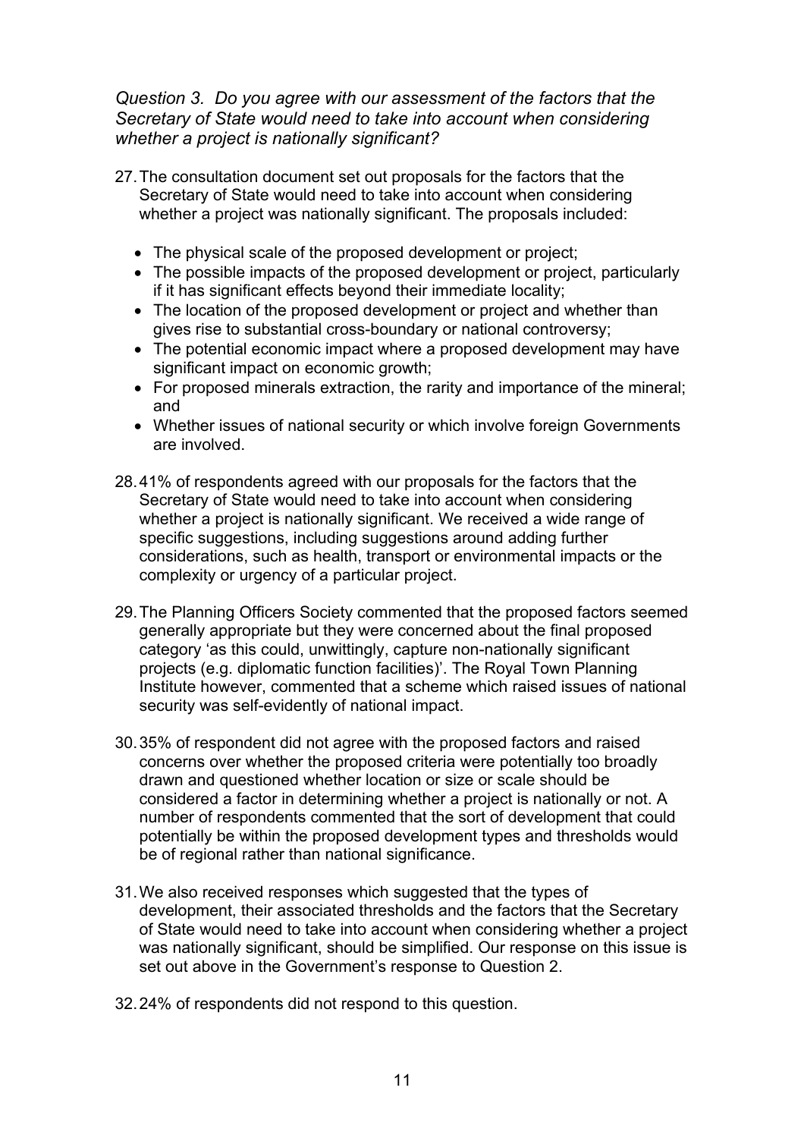# *Question 3. Do you agree with our assessment of the factors that the Secretary of State would need to take into account when considering whether a project is nationally significant?*

- 27. The consultation document set out proposals for the factors that the Secretary of State would need to take into account when considering whether a project was nationally significant. The proposals included:
	- The physical scale of the proposed development or project;
	- The possible impacts of the proposed development or project, particularly if it has significant effects beyond their immediate locality;
	- The location of the proposed development or project and whether than gives rise to substantial cross-boundary or national controversy;
	- The potential economic impact where a proposed development may have significant impact on economic growth;
	- For proposed minerals extraction, the rarity and importance of the mineral; and
	- Whether issues of national security or which involve foreign Governments are involved.
- 28. 41% of respondents agreed with our proposals for the factors that the Secretary of State would need to take into account when considering whether a project is nationally significant. We received a wide range of specific suggestions, including suggestions around adding further considerations, such as health, transport or environmental impacts or the complexity or urgency of a particular project.
- 29. The Planning Officers Society commented that the proposed factors seemed generally appropriate but they were concerned about the final proposed category 'as this could, unwittingly, capture non-nationally significant projects (e.g. diplomatic function facilities)'. The Royal Town Planning Institute however, commented that a scheme which raised issues of national security was self-evidently of national impact.
- 30. 35% of respondent did not agree with the proposed factors and raised concerns over whether the proposed criteria were potentially too broadly drawn and questioned whether location or size or scale should be considered a factor in determining whether a project is nationally or not. A number of respondents commented that the sort of development that could potentially be within the proposed development types and thresholds would be of regional rather than national significance.
- 31. We also received responses which suggested that the types of development, their associated thresholds and the factors that the Secretary of State would need to take into account when considering whether a project was nationally significant, should be simplified. Our response on this issue is set out above in the Government's response to Question 2.
- 32. 24% of respondents did not respond to this question.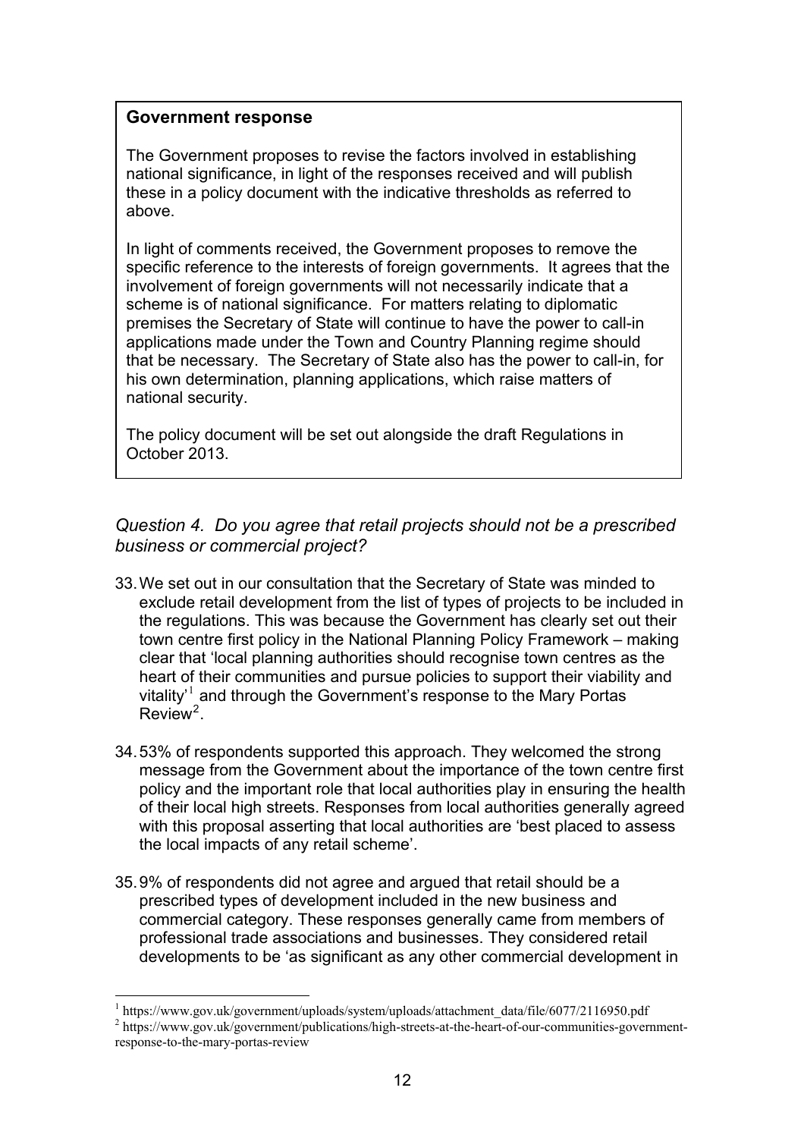### **Government response**

The Government proposes to revise the factors involved in establishing national significance, in light of the responses received and will publish these in a policy document with the indicative thresholds as referred to above.

In light of comments received, the Government proposes to remove the specific reference to the interests of foreign governments. It agrees that the involvement of foreign governments will not necessarily indicate that a scheme is of national significance. For matters relating to diplomatic premises the Secretary of State will continue to have the power to call-in applications made under the Town and Country Planning regime should that be necessary. The Secretary of State also has the power to call-in, for his own determination, planning applications, which raise matters of national security.

The policy document will be set out alongside the draft Regulations in October 2013.

### *Question 4. Do you agree that retail projects should not be a prescribed business or commercial project?*

- 33. We set out in our consultation that the Secretary of State was minded to exclude retail development from the list of types of projects to be included in the regulations. This was because the Government has clearly set out their town centre first policy in the National Planning Policy Framework – making clear that 'local planning authorities should recognise town centres as the heart of their communities and pursue policies to support their viability and vitality' $^1$  and through the Government's response to the Mary Portas  $Review<sup>2</sup>$ .
- 34. 53% of respondents supported this approach. They welcomed the strong message from the Government about the importance of the town centre first policy and the important role that local authorities play in ensuring the health of their local high streets. Responses from local authorities generally agreed with this proposal asserting that local authorities are 'best placed to assess the local impacts of any retail scheme'.
- 35. 9% of respondents did not agree and argued that retail should be a prescribed types of development included in the new business and commercial category. These responses generally came from members of professional trade associations and businesses. They considered retail developments to be 'as significant as any other commercial development in

 $\overline{a}$ 

<sup>1</sup> https://www.gov.uk/government/uploads/system/uploads/attachment\_data/file/6077/2116950.pdf

<sup>&</sup>lt;sup>2</sup> https://www.gov.uk/government/publications/high-streets-at-the-heart-of-our-communities-governmentresponse-to-the-mary-portas-review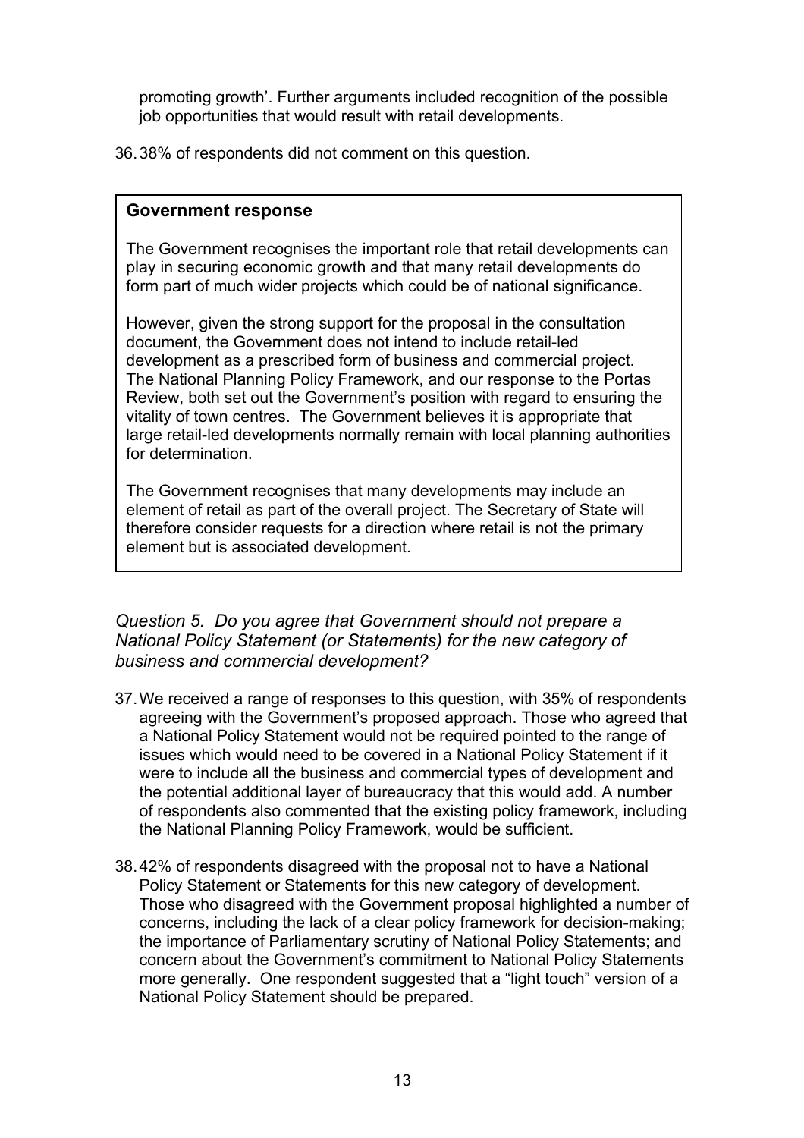promoting growth'. Further arguments included recognition of the possible job opportunities that would result with retail developments.

36. 38% of respondents did not comment on this question.

#### **Government response**

The Government recognises the important role that retail developments can play in securing economic growth and that many retail developments do form part of much wider projects which could be of national significance.

However, given the strong support for the proposal in the consultation document, the Government does not intend to include retail-led development as a prescribed form of business and commercial project. The National Planning Policy Framework, and our response to the Portas Review, both set out the Government's position with regard to ensuring the vitality of town centres. The Government believes it is appropriate that large retail-led developments normally remain with local planning authorities for determination.

The Government recognises that many developments may include an element of retail as part of the overall project. The Secretary of State will therefore consider requests for a direction where retail is not the primary element but is associated development.

*Question 5. Do you agree that Government should not prepare a National Policy Statement (or Statements) for the new category of business and commercial development?* 

- 37. We received a range of responses to this question, with 35% of respondents agreeing with the Government's proposed approach. Those who agreed that a National Policy Statement would not be required pointed to the range of issues which would need to be covered in a National Policy Statement if it were to include all the business and commercial types of development and the potential additional layer of bureaucracy that this would add. A number of respondents also commented that the existing policy framework, including the National Planning Policy Framework, would be sufficient.
- 38. 42% of respondents disagreed with the proposal not to have a National Policy Statement or Statements for this new category of development. Those who disagreed with the Government proposal highlighted a number of concerns, including the lack of a clear policy framework for decision-making; the importance of Parliamentary scrutiny of National Policy Statements; and concern about the Government's commitment to National Policy Statements more generally. One respondent suggested that a "light touch" version of a National Policy Statement should be prepared.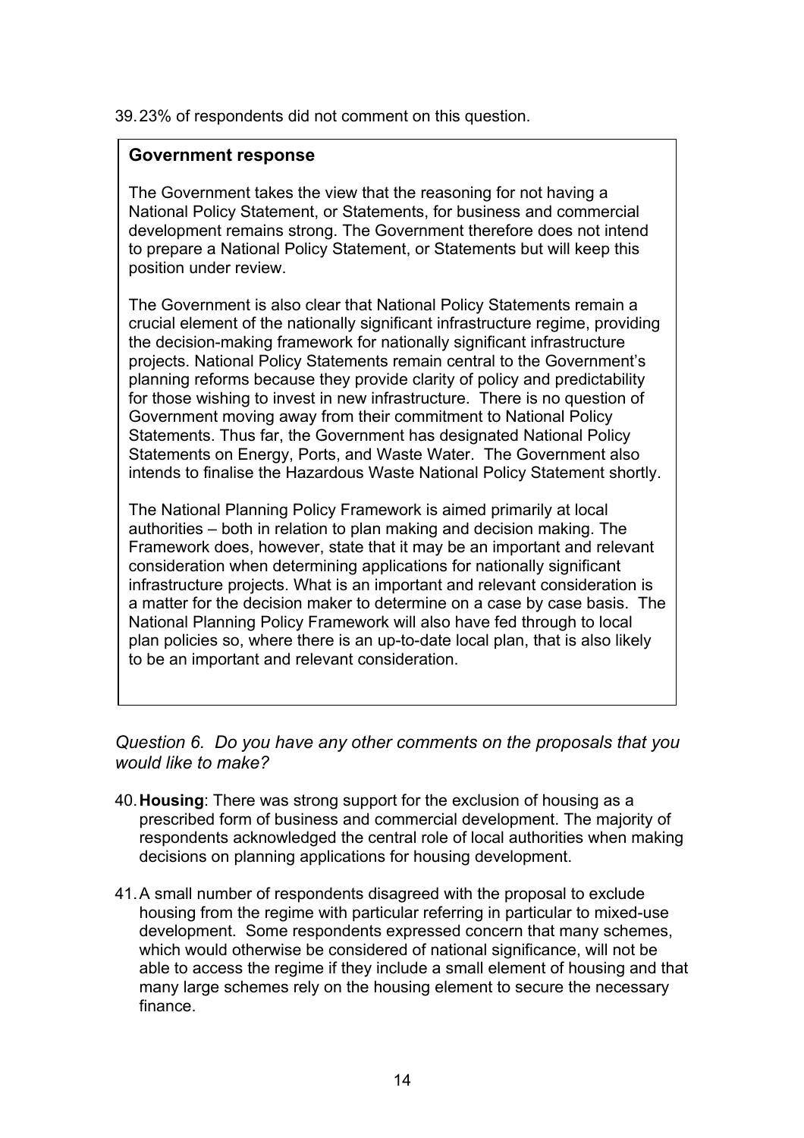39. 23% of respondents did not comment on this question.

#### **Government response**

The Government takes the view that the reasoning for not having a National Policy Statement, or Statements, for business and commercial development remains strong. The Government therefore does not intend to prepare a National Policy Statement, or Statements but will keep this position under review.

The Government is also clear that National Policy Statements remain a crucial element of the nationally significant infrastructure regime, providing the decision-making framework for nationally significant infrastructure projects. National Policy Statements remain central to the Government's planning reforms because they provide clarity of policy and predictability for those wishing to invest in new infrastructure. There is no question of Government moving away from their commitment to National Policy Statements. Thus far, the Government has designated National Policy Statements on Energy, Ports, and Waste Water. The Government also intends to finalise the Hazardous Waste National Policy Statement shortly.

The National Planning Policy Framework is aimed primarily at local authorities – both in relation to plan making and decision making. The Framework does, however, state that it may be an important and relevant consideration when determining applications for nationally significant infrastructure projects. What is an important and relevant consideration is a matter for the decision maker to determine on a case by case basis. The National Planning Policy Framework will also have fed through to local plan policies so, where there is an up-to-date local plan, that is also likely to be an important and relevant consideration.

*Question 6. Do you have any other comments on the proposals that you would like to make?* 

- 40.**Housing**: There was strong support for the exclusion of housing as a prescribed form of business and commercial development. The majority of respondents acknowledged the central role of local authorities when making decisions on planning applications for housing development.
- 41. A small number of respondents disagreed with the proposal to exclude housing from the regime with particular referring in particular to mixed-use development. Some respondents expressed concern that many schemes, which would otherwise be considered of national significance, will not be able to access the regime if they include a small element of housing and that many large schemes rely on the housing element to secure the necessary finance.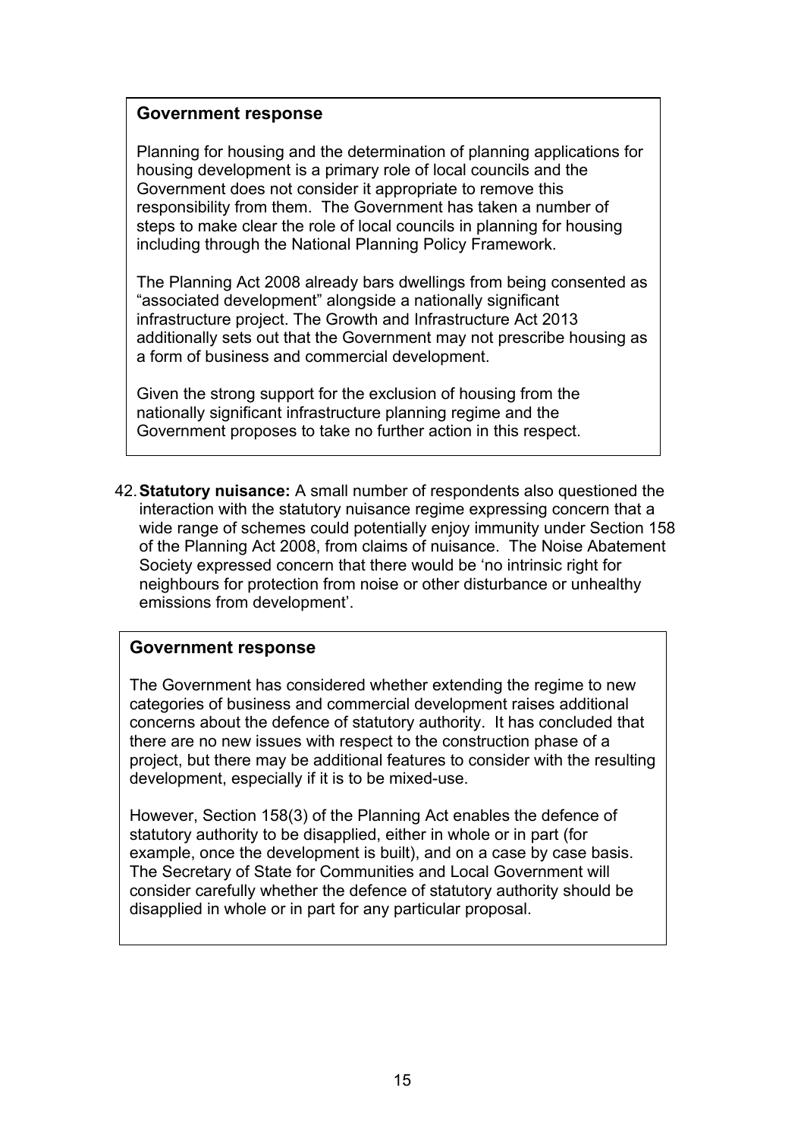### **Government response**

Planning for housing and the determination of planning applications for housing development is a primary role of local councils and the Government does not consider it appropriate to remove this responsibility from them. The Government has taken a number of steps to make clear the role of local councils in planning for housing including through the National Planning Policy Framework.

The Planning Act 2008 already bars dwellings from being consented as "associated development" alongside a nationally significant infrastructure project. The Growth and Infrastructure Act 2013 additionally sets out that the Government may not prescribe housing as a form of business and commercial development.

Given the strong support for the exclusion of housing from the nationally significant infrastructure planning regime and the Government proposes to take no further action in this respect.

42.**Statutory nuisance:** A small number of respondents also questioned the interaction with the statutory nuisance regime expressing concern that a wide range of schemes could potentially enjoy immunity under Section 158 of the Planning Act 2008, from claims of nuisance. The Noise Abatement Society expressed concern that there would be 'no intrinsic right for neighbours for protection from noise or other disturbance or unhealthy emissions from development'.

#### **Government response**

The Government has considered whether extending the regime to new categories of business and commercial development raises additional concerns about the defence of statutory authority. It has concluded that there are no new issues with respect to the construction phase of a project, but there may be additional features to consider with the resulting development, especially if it is to be mixed-use.

However, Section 158(3) of the Planning Act enables the defence of statutory authority to be disapplied, either in whole or in part (for example, once the development is built), and on a case by case basis. The Secretary of State for Communities and Local Government will consider carefully whether the defence of statutory authority should be disapplied in whole or in part for any particular proposal.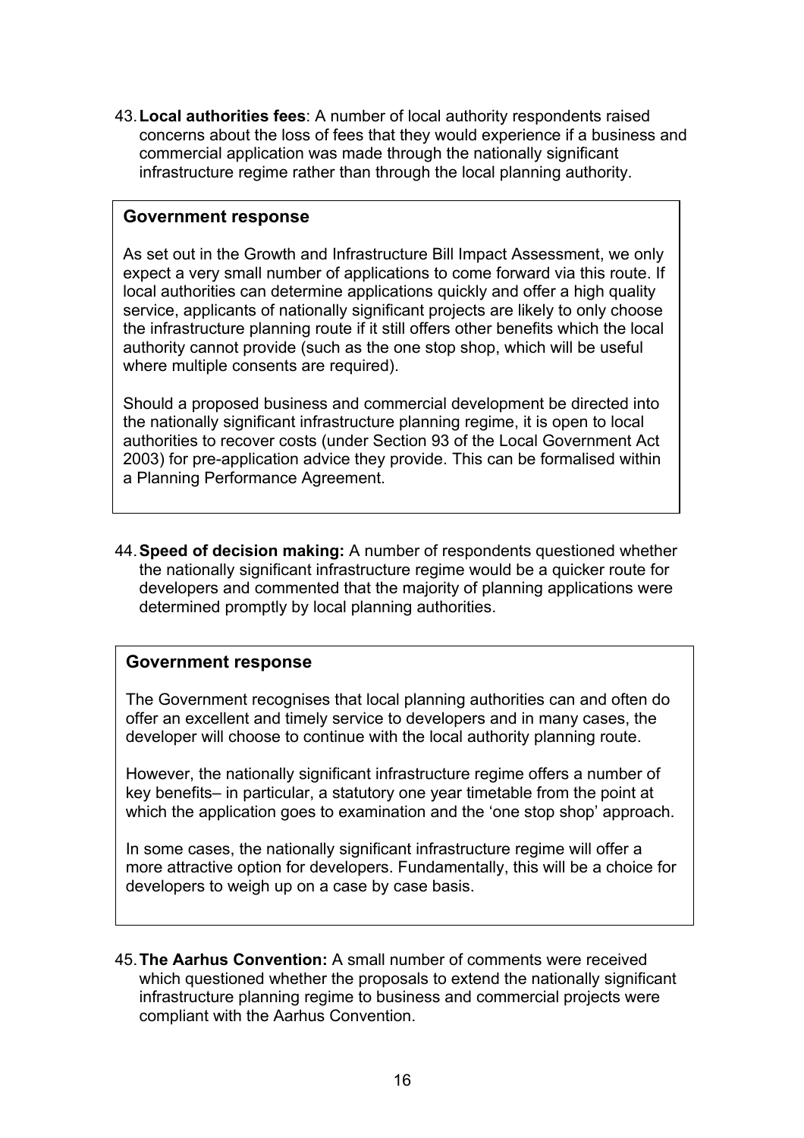43.**Local authorities fees**: A number of local authority respondents raised concerns about the loss of fees that they would experience if a business and commercial application was made through the nationally significant infrastructure regime rather than through the local planning authority.

#### **Government response**

As set out in the Growth and Infrastructure Bill Impact Assessment, we only expect a very small number of applications to come forward via this route. If local authorities can determine applications quickly and offer a high quality service, applicants of nationally significant projects are likely to only choose the infrastructure planning route if it still offers other benefits which the local authority cannot provide (such as the one stop shop, which will be useful where multiple consents are required).

Should a proposed business and commercial development be directed into the nationally significant infrastructure planning regime, it is open to local authorities to recover costs (under Section 93 of the Local Government Act 2003) for pre-application advice they provide. This can be formalised within a Planning Performance Agreement.

44.**Speed of decision making:** A number of respondents questioned whether the nationally significant infrastructure regime would be a quicker route for developers and commented that the majority of planning applications were determined promptly by local planning authorities.

### **Government response**

The Government recognises that local planning authorities can and often do offer an excellent and timely service to developers and in many cases, the developer will choose to continue with the local authority planning route.

However, the nationally significant infrastructure regime offers a number of key benefits– in particular, a statutory one year timetable from the point at which the application goes to examination and the 'one stop shop' approach.

In some cases, the nationally significant infrastructure regime will offer a more attractive option for developers. Fundamentally, this will be a choice for developers to weigh up on a case by case basis.

45.**The Aarhus Convention:** A small number of comments were received which questioned whether the proposals to extend the nationally significant infrastructure planning regime to business and commercial projects were compliant with the Aarhus Convention.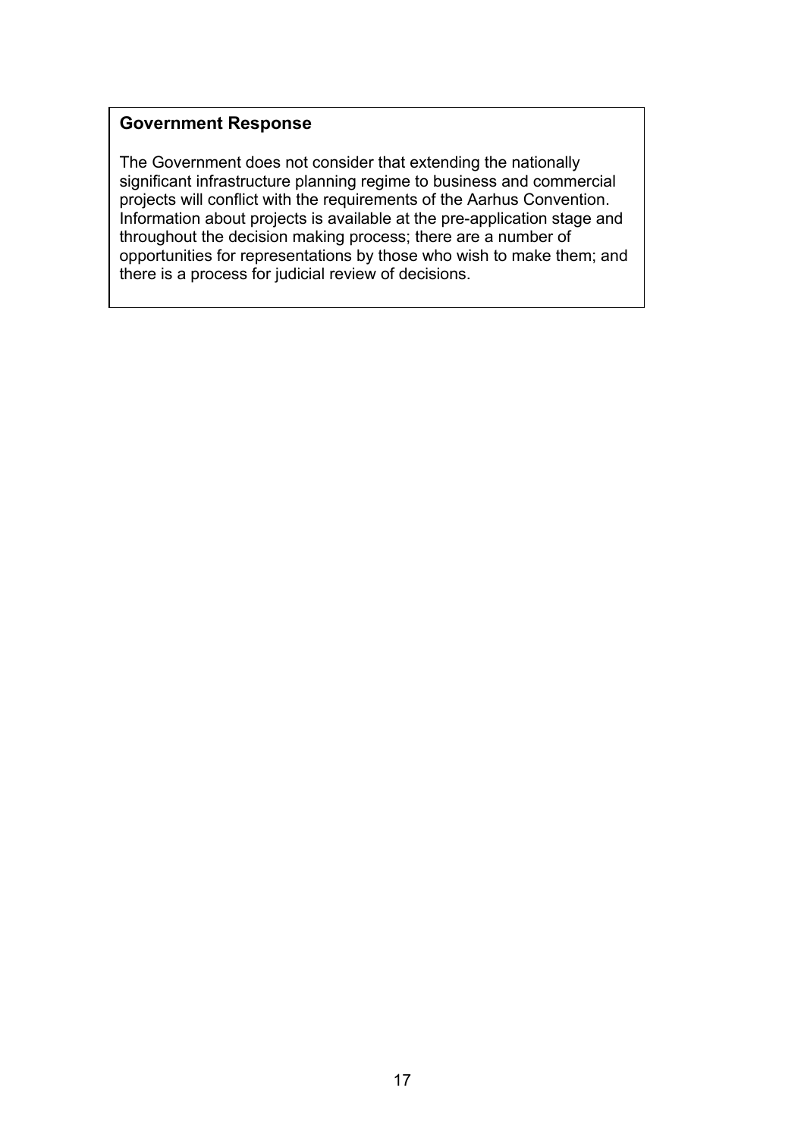# **Government Response**

The Government does not consider that extending the nationally significant infrastructure planning regime to business and commercial projects will conflict with the requirements of the Aarhus Convention. Information about projects is available at the pre-application stage and throughout the decision making process; there are a number of opportunities for representations by those who wish to make them; and there is a process for judicial review of decisions.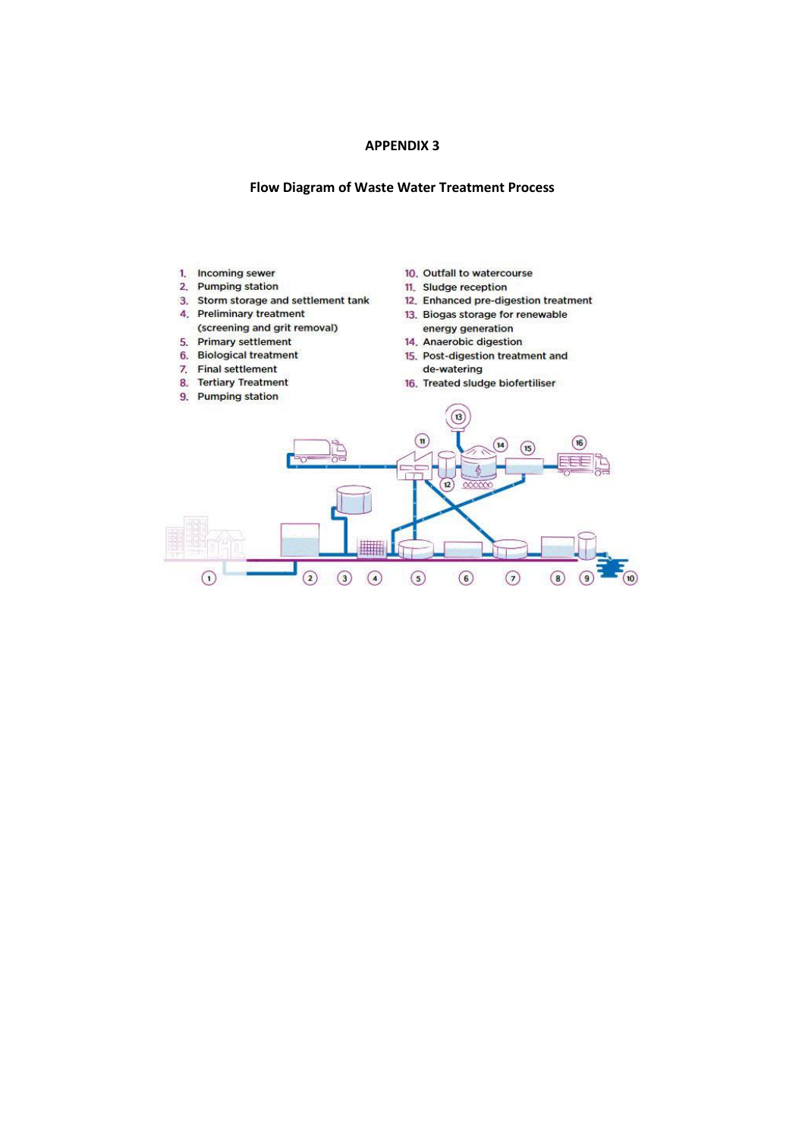#### **APPENDIX 3**

#### **Flow Diagram of Waste Water Treatment Process**